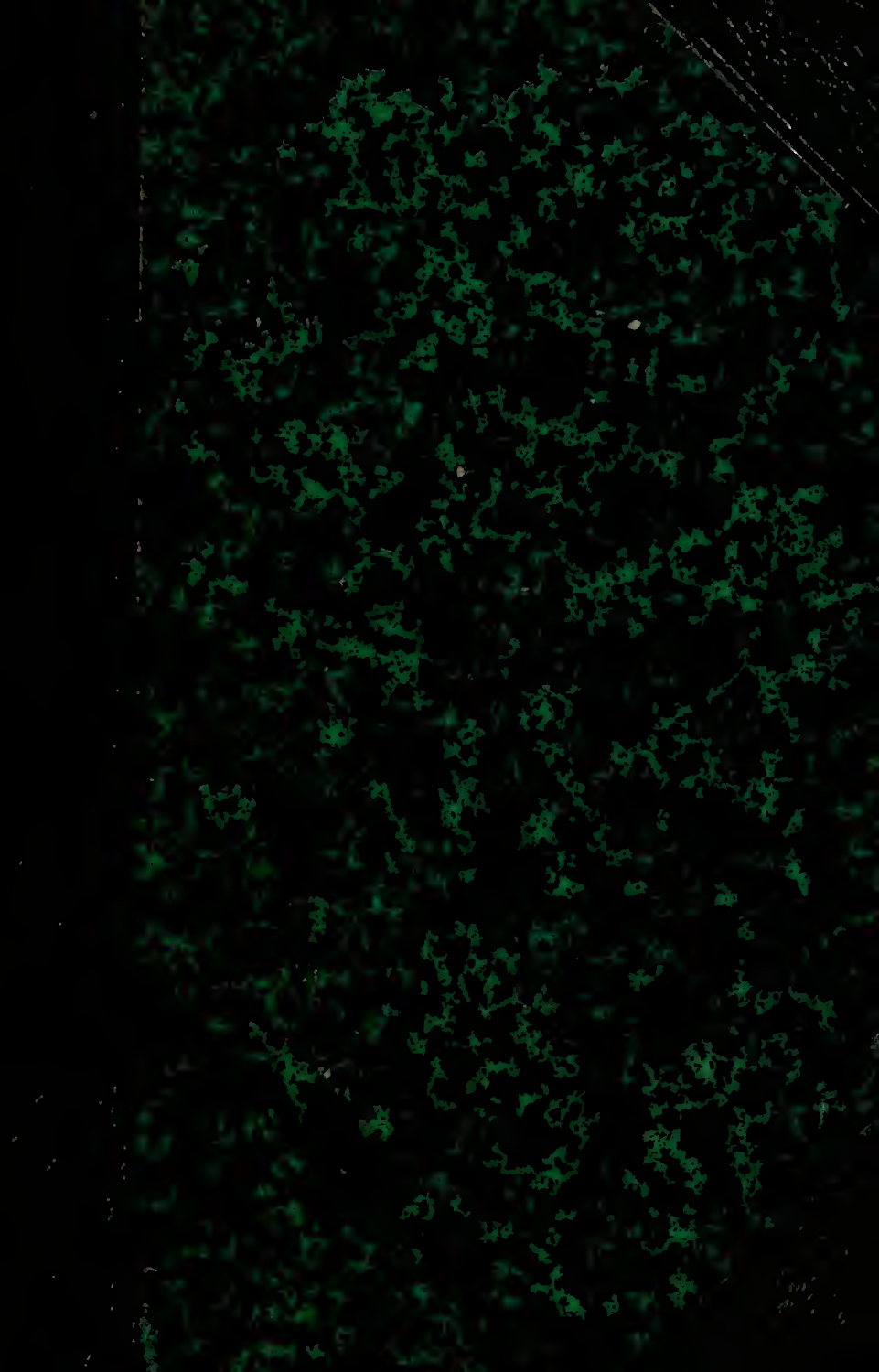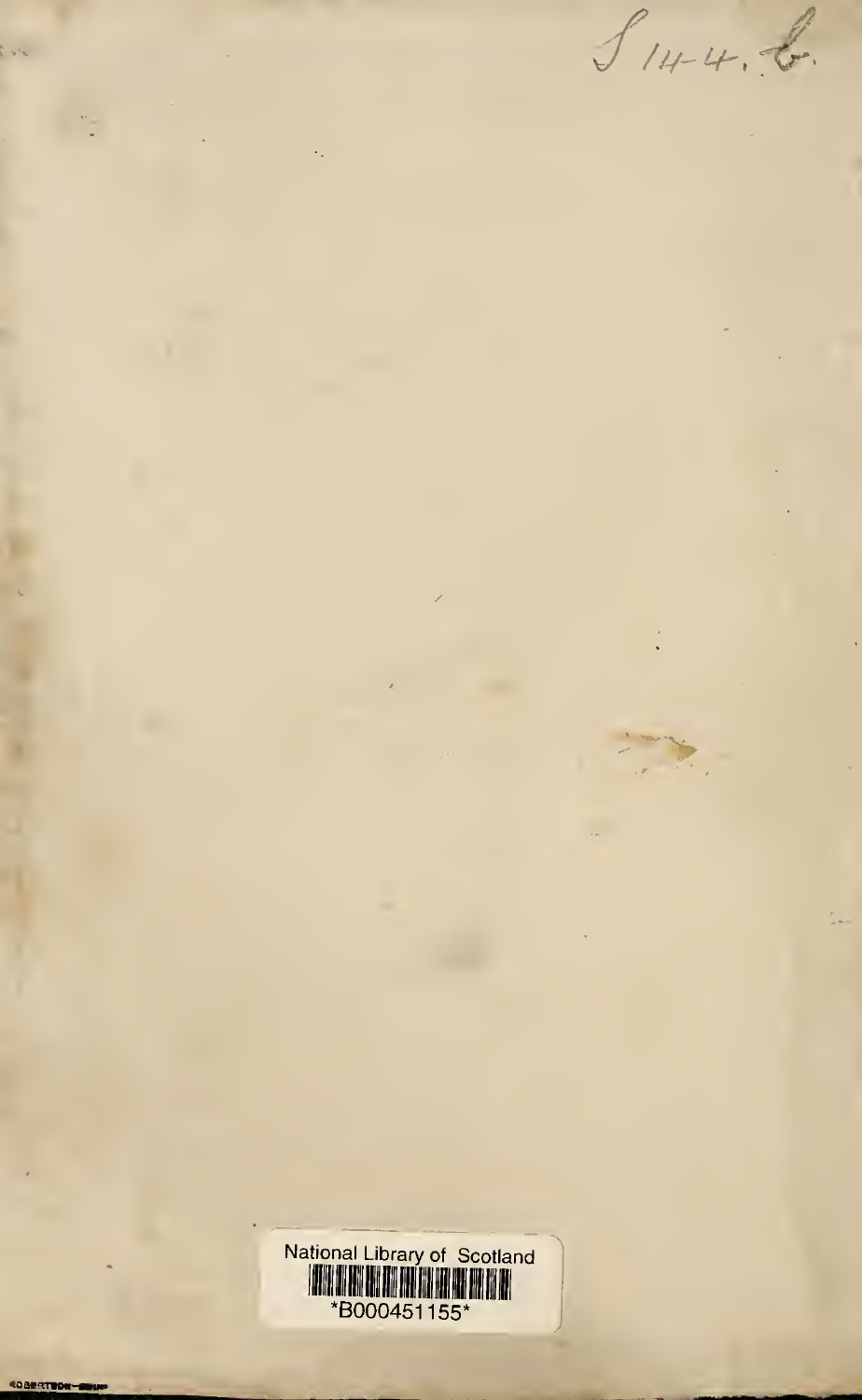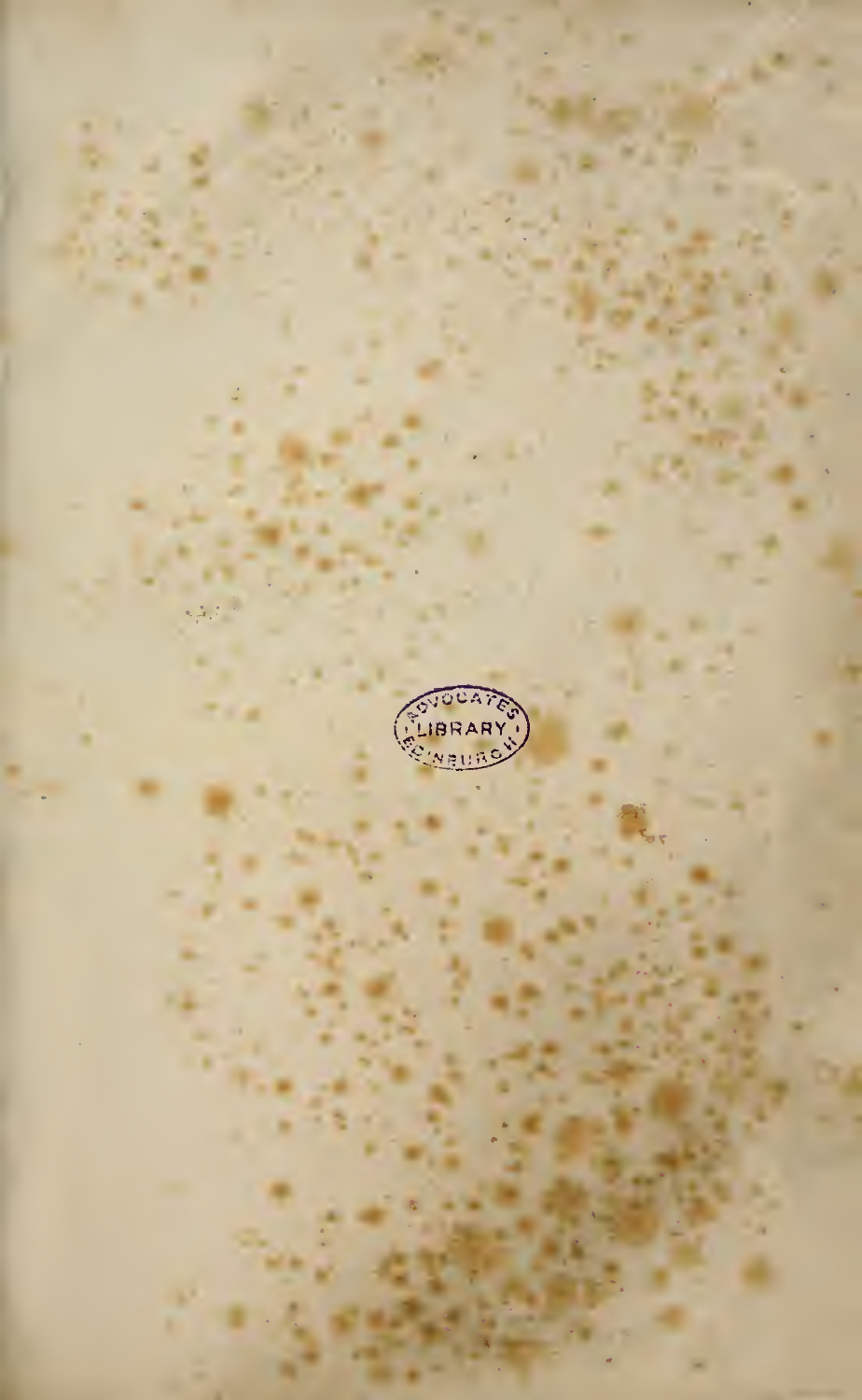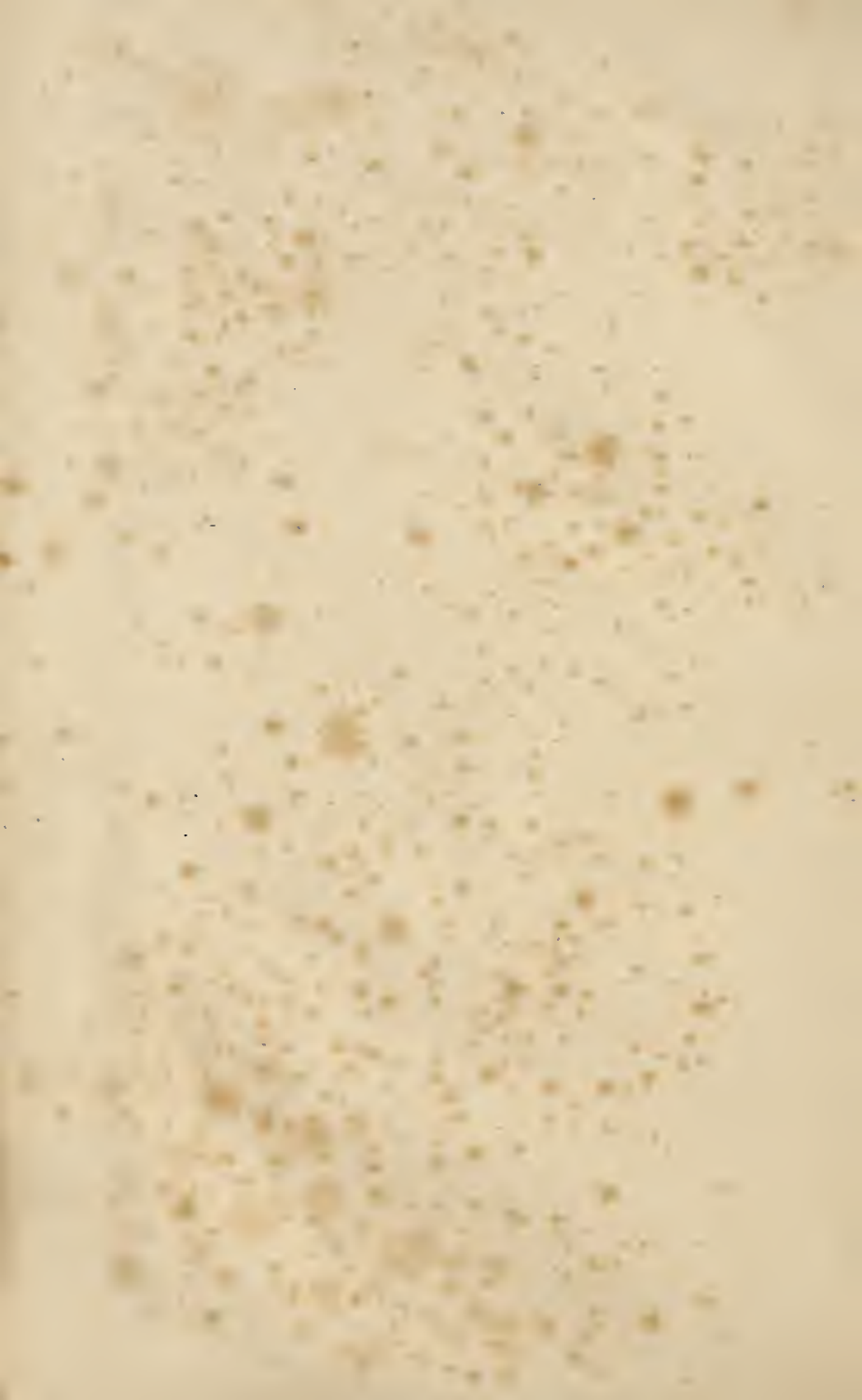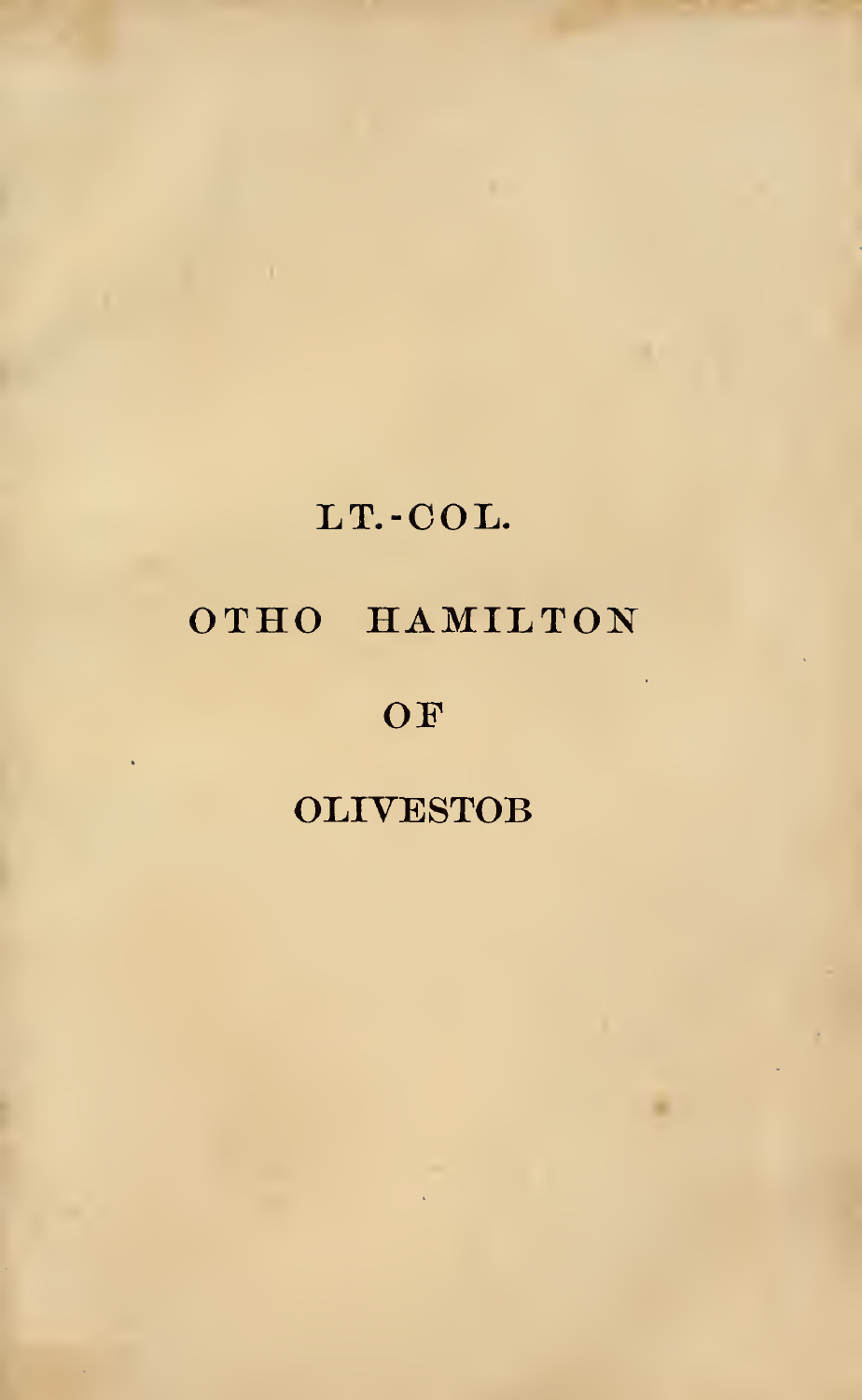# LT.-COL.

## OTHO HAMILTON

# **OF**

## OLIYESTOB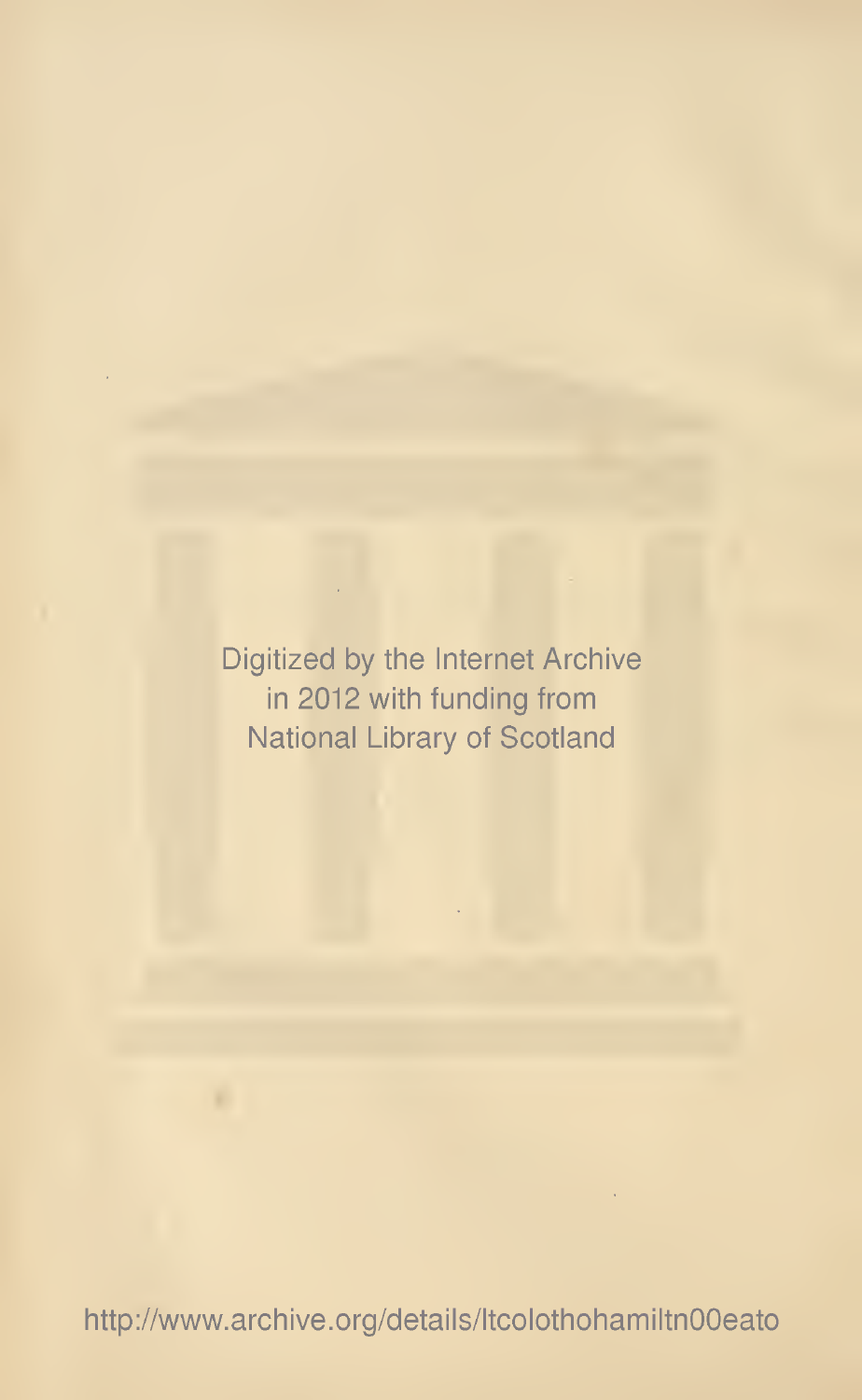Digitized by the Internet Archive in 2012 with funding from National Library of Scotland

http://www.archive.org/details/ltcolothohamiltnOOeato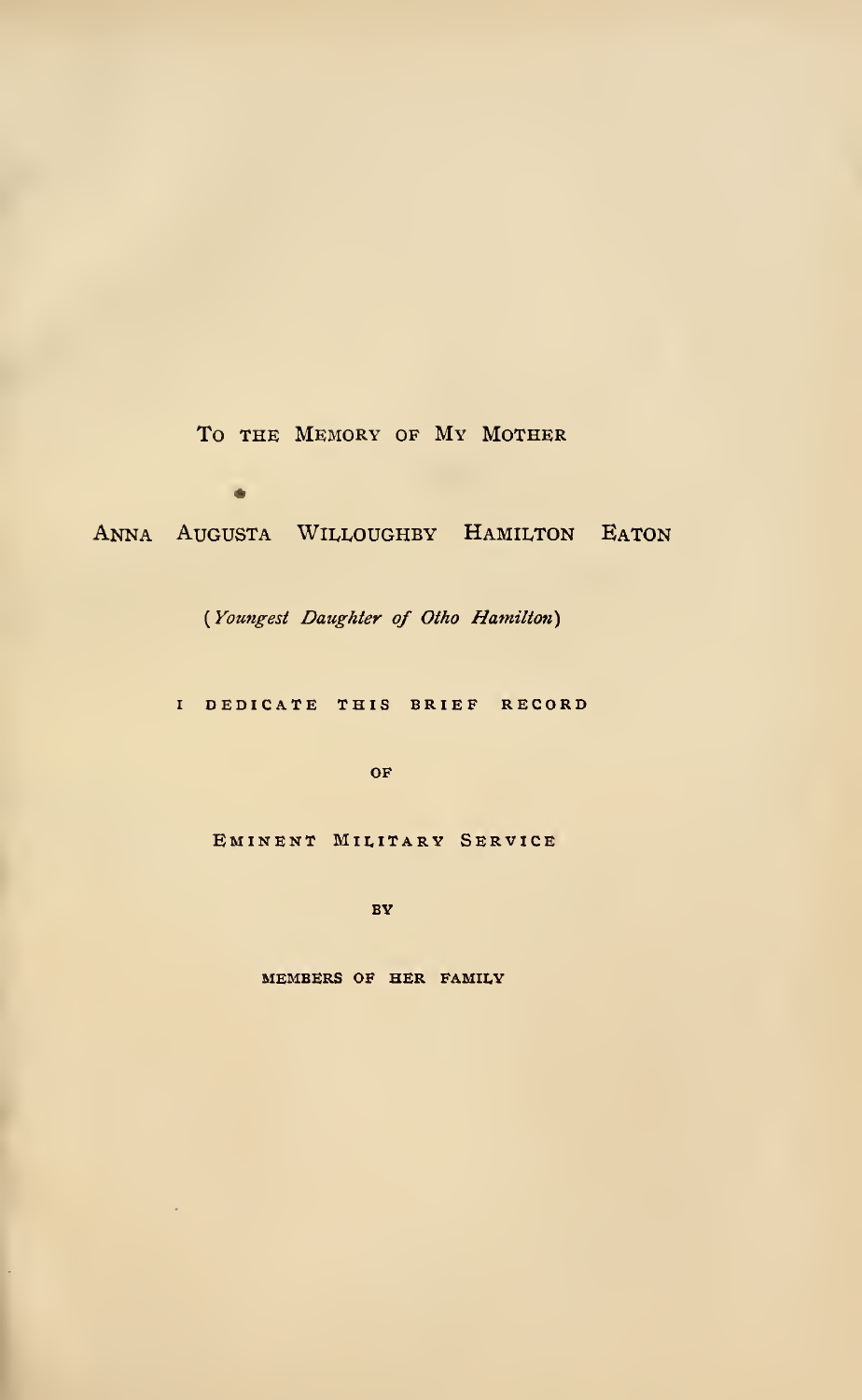### To the Memory of My Mother

 $\bullet$ 

### Anna Augusta Willoughby Hamilton Eaton

### ( Youngest Daughter of Otho Hamilton)

<sup>I</sup> DEDICATE THIS BRIEF RECORD

OF

#### Eminent Military Service

by

#### members of her famity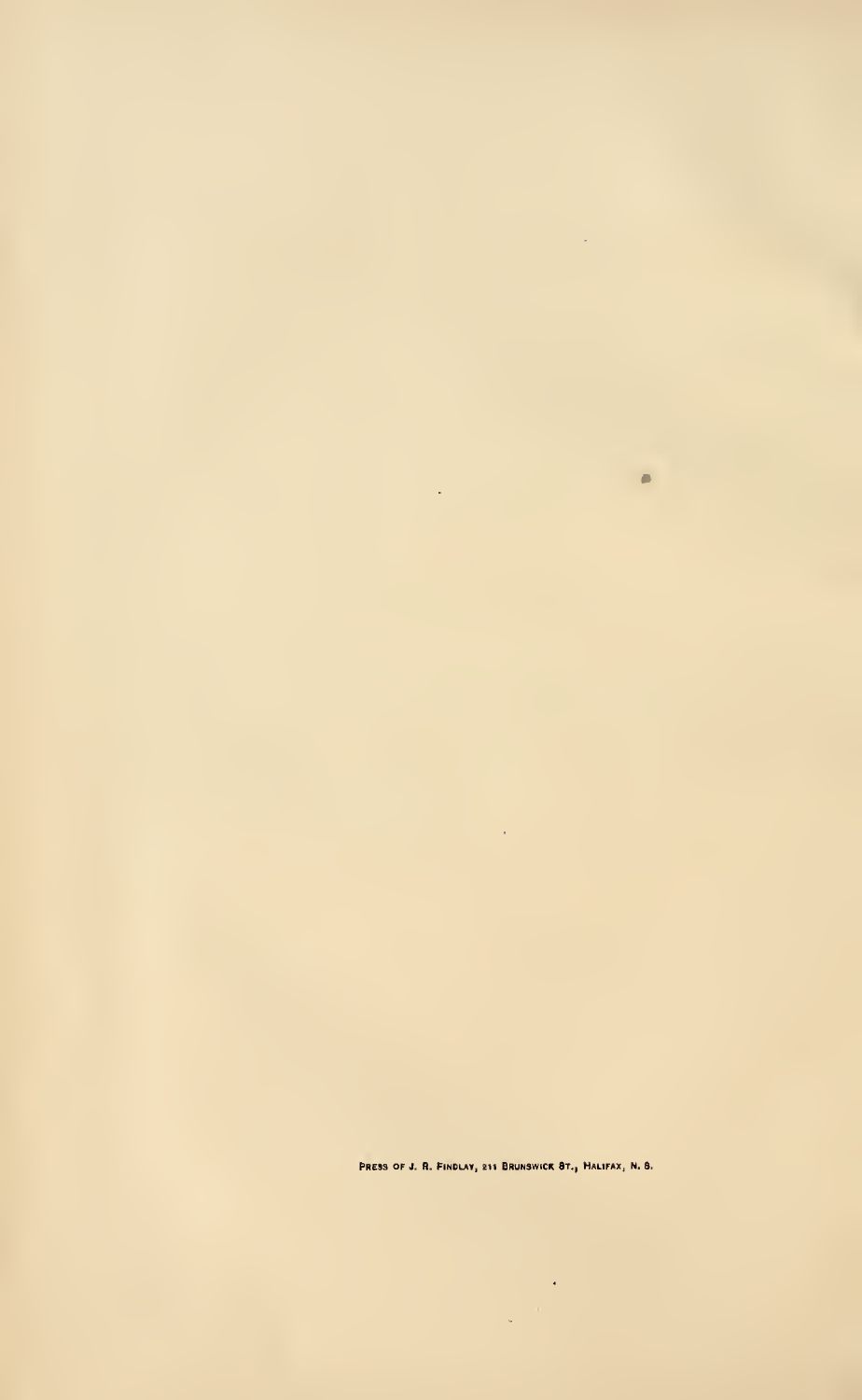#### PRESS OF J. R. FINDLAY, 211 BRUNSWICK ST., HALIFAX, N. S.

and the state of the

 $\mathcal{L}(\mathcal{L})$  and  $\mathcal{L}(\mathcal{L})$  . Then

**Contract Contract Contract Contract** 

**Contractor** 

 $\mathcal{L}(\mathcal{A})$  and  $\mathcal{L}(\mathcal{A})$  . In the  $\mathcal{L}(\mathcal{A})$  $\mathcal{L}=\mathcal{L}(\mathcal{K})$  .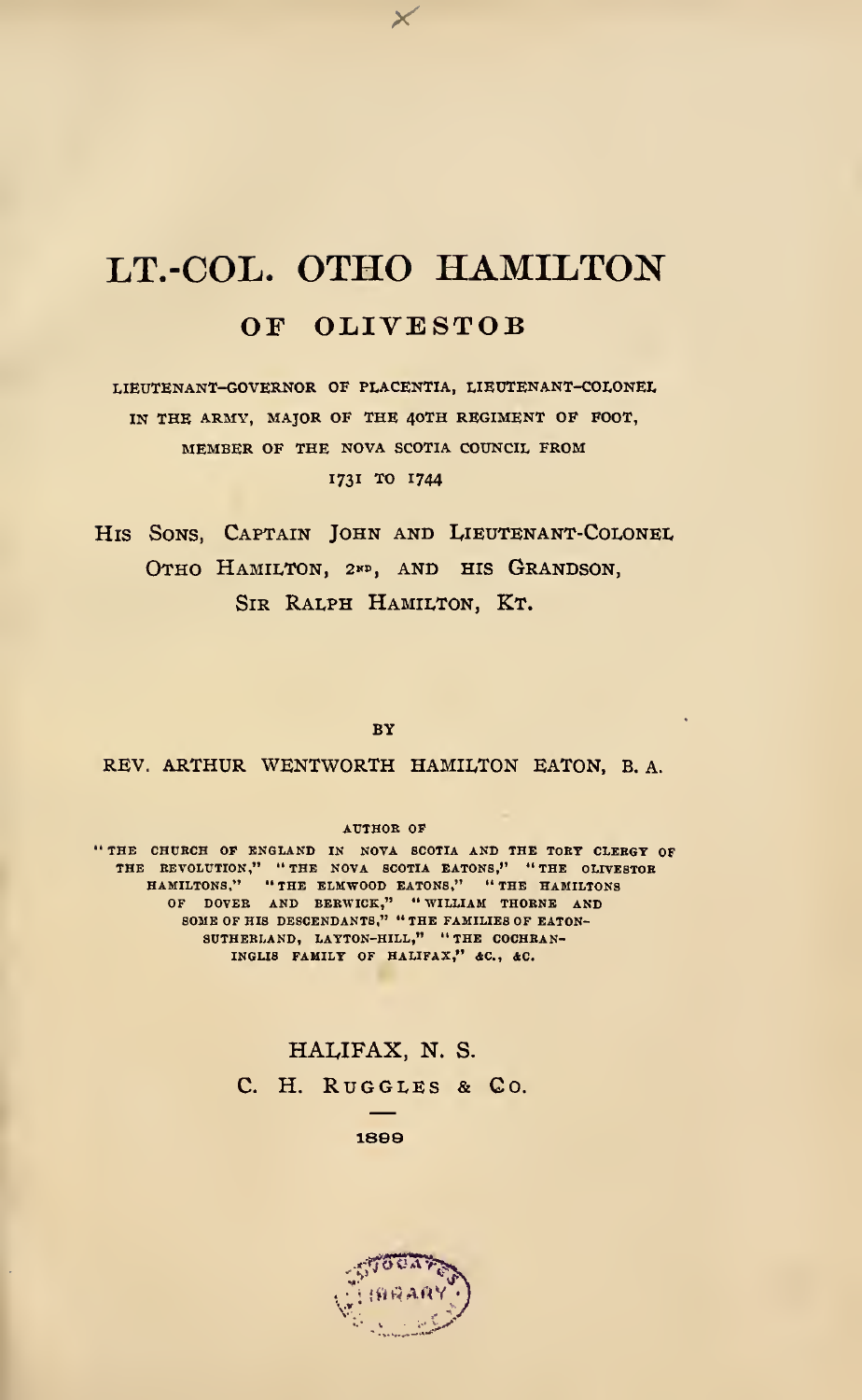# LT.-COL. OTHO HAMILTON OF OLIVESTOB

X

LIEUTENANT-GOVERNOR OF PLACENTIA, LIEUTENANT-COLONEL IN THE ARMY, MAJOR OF THE 40TH REGIMENT OF FOOT, MEMBER OF THE NOVA SCOTIA COUNCIL FROM 1731 TO 1744

His Sons, Captain John and Lieutenant-Colonel OTHO HAMILTON, 2xD, AND HIS GRANDSON, Sir Ralph Hamilton, Kt.

**BY** 

rev. arthur wentworth hamilton eaton, b. a.

AUTHOR OF

'THE CHURCH OF ENGLAND IN NOVA SCOTIA AND THE TORY CLERGY OF THE REVOLUTION," "THE NOVA SCOTIA EATONS," "THE OLIVESTOR HAMILTONS," "THE ELMWOOD EATONS," "THE HAMILTONS OF DOVER AND BERWICK," " WILLIAM THORNE AND SOME OF HIS DESCENDANTS," "THE FAMILIES OF EATON-SUTHERLAND, LAYTON-HILL," "THE COCHRAN-INGLIS FAMILT OF HALIFAX," AC, AC.

### HALIFAX, N. S. C. H. Ruggles & Go.

1889

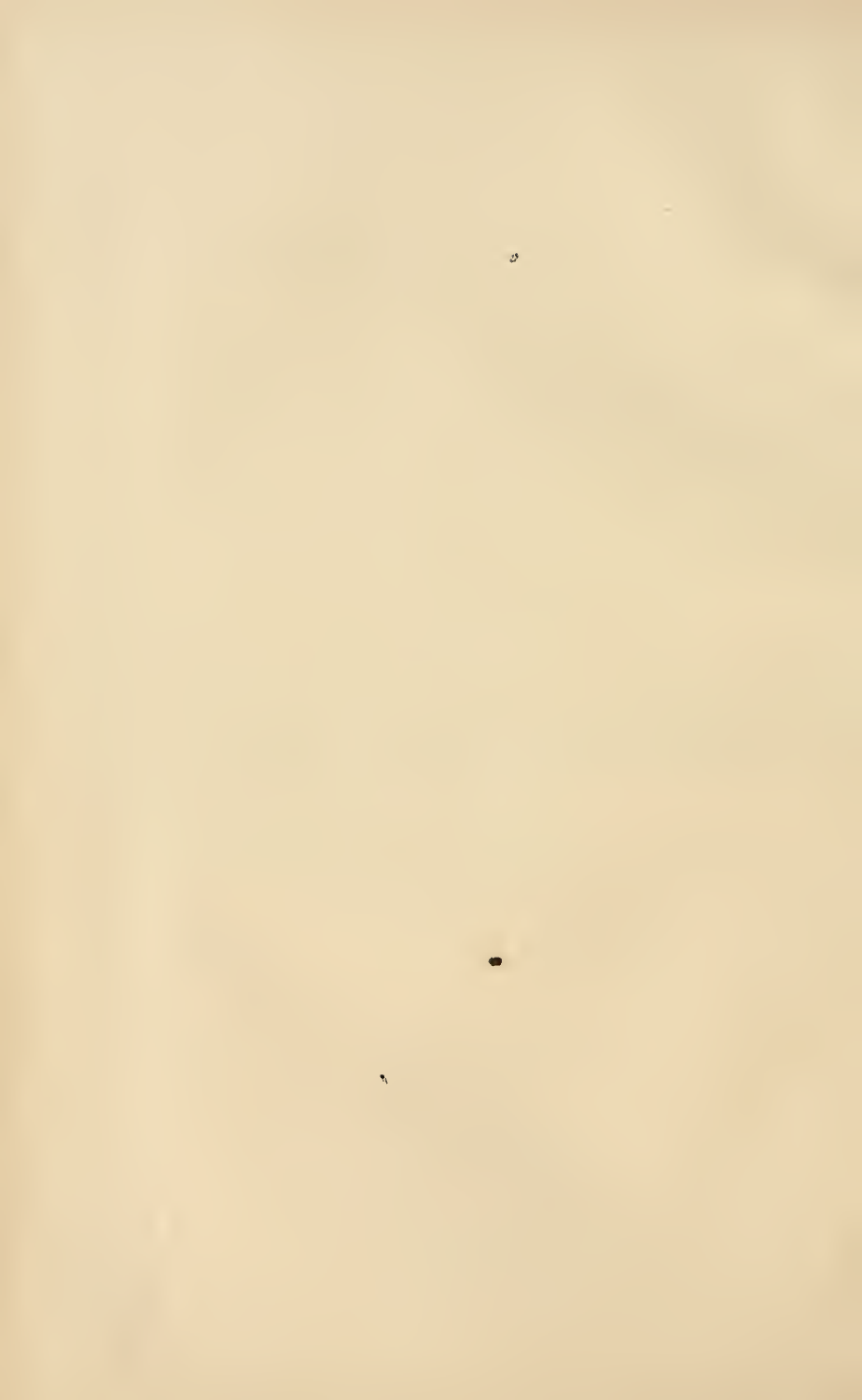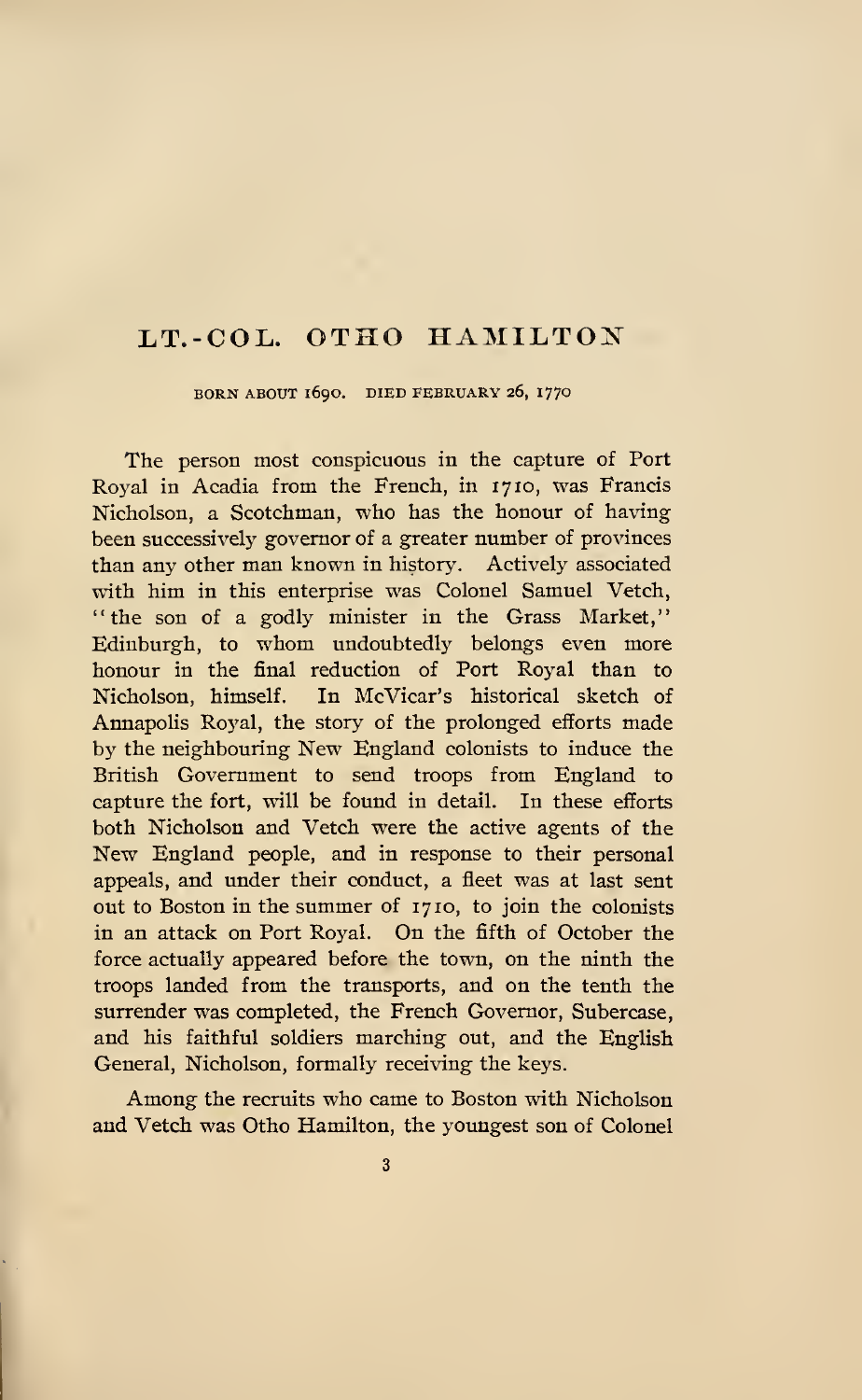### LT.-COL. OTHO HAMILTON

BORN ABOUT 169O. DIED FEBRUARY 26, 1770

The person most conspicuous in the capture of Port Royal in Acadia from the French, in 1710, was Francis Nicholson, a Scotchman, who has the honour of having been successively governor of a greater number of provinces than any other man known in history. Actively associated with him in this enterprise was Colonel Samuel Vetch, "the son of a godly minister in the Grass Market," Edinburgh, to whom undoubtedly belongs even more honour in the final reduction of Port Royal than to Nicholson, himself. In McVicar's historical sketch of Annapolis Royal, the story of the prolonged efforts made by the neighbouring New England colonists to induce the British Government to send troops from England to capture the fort, will be found in detail. In these efforts both Nicholson and Vetch were the active agents of the New England people, and in response to their personal appeals, and under their conduct, a fleet was at last sent out to Boston in the summer of 1710, to join the colonists in an attack on Port Royal. On the fifth of October the force actually appeared before the town, on the ninth the troops landed from the transports, and on the tenth the surrender was completed, the French Governor, Subercase, and his faithful soldiers marching out, and the English General, Nicholson, formally receiving the keys.

Among the recruits who came to Boston with Nicholson and Vetch was Otho Hamilton, the youngest son of Colonel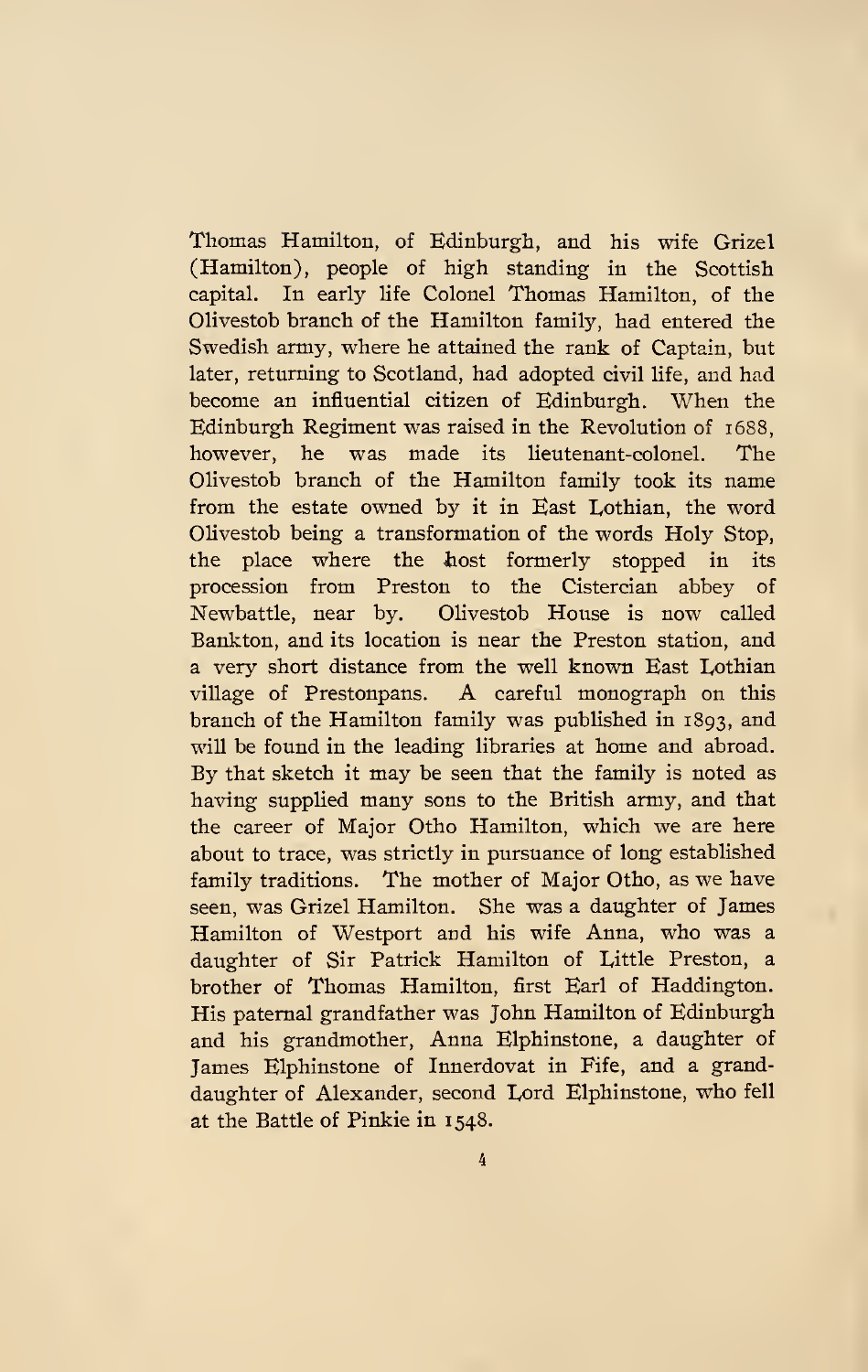Thomas Hamilton, of Edinburgh, and his wife Grizel (Hamilton), people of high standing in the Scottish capital. In early life Colonel Thomas Hamilton, of the Olivestob branch of the Hamilton family, had entered the Swedish army, where he attained the rank of Captain, but later, returning to Scotland, had adopted civil life, and had become an influential citizen of Edinburgh. When the Edinburgh Regiment was raised in the Revolution of 1688, however, he was made its lieutenant-colonel. The Olivestob branch of the Hamilton family took its name from the estate owned by it in East Lothian, the word Olivestob being a transformation of the words Holy Stop, the place where the host formerly stopped in its procession from Preston to the Cistercian abbey of Newbattle, near by. Olivestob House is now called Bankton, and its location is near the Preston station, and a very short distance from the well known East Lothian village of Prestonpans. A careful monograph on this branch of the Hamilton family was published in 1893, and will be found in the leading libraries at home and abroad. By that sketch it may be seen that the family is noted as having supplied many sons to the British army, and that the career of Major Otho Hamilton, which we are here about to trace, was strictly in pursuance of long established family traditions. The mother of Major Otho, as we have seen, was Grizel Hamilton. She was a daughter of James Hamilton of Westport and his wife Anna, who was a daughter of Sir Patrick Hamilton of Little Preston, a brother of Thomas Hamilton, first Earl of Haddington. His paternal grandfather was John Hamilton of Edinburgh and his grandmother, Anna Elphinstone, a daughter of James Elphinstone of Innerdovat in Fife, and a granddaughter of Alexander, second Lord Elphinstone, who fell at the Battle of Pinkie in 1548.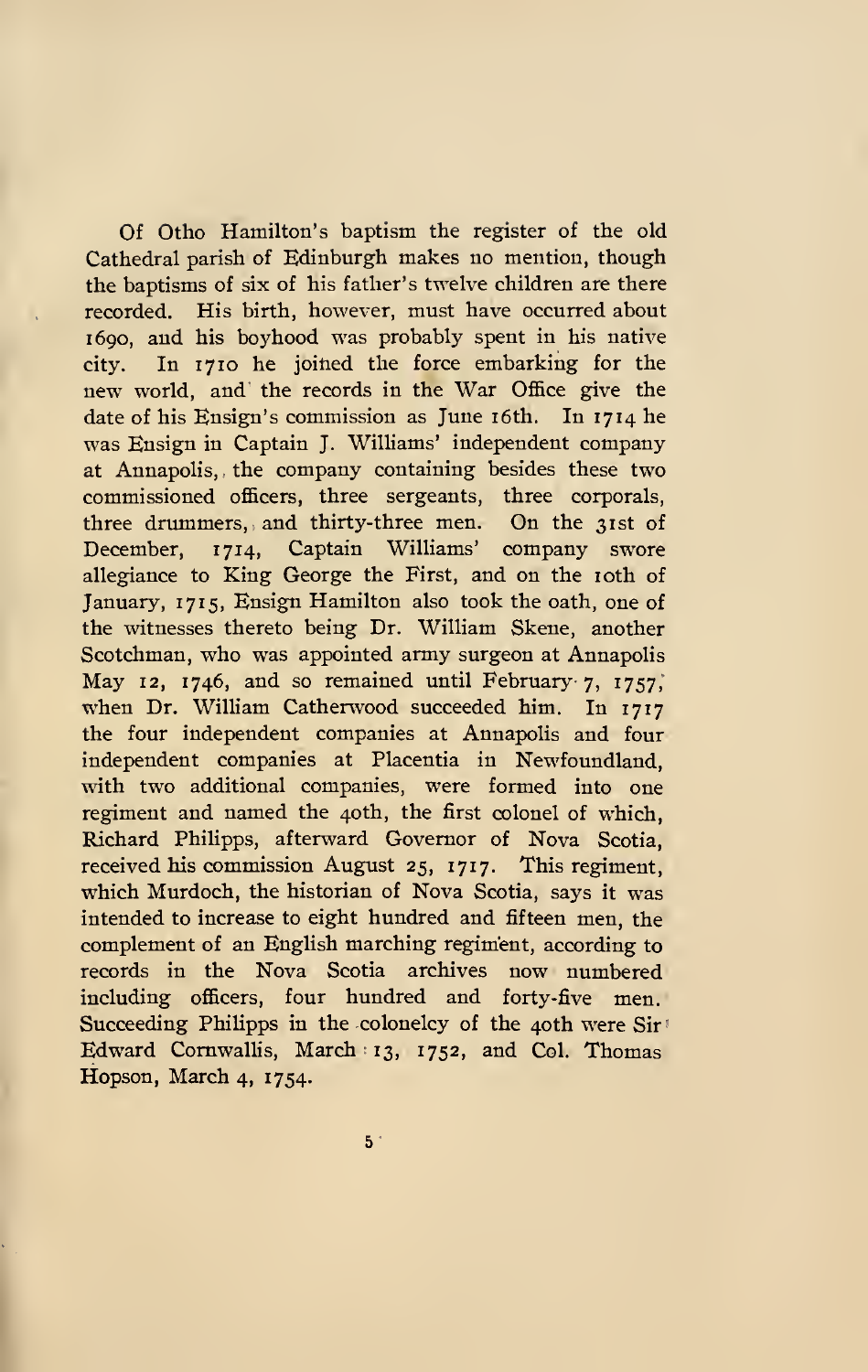Of Otho Hamilton's baptism the register of the old Cathedral parish of Edinburgh makes no mention, though the baptisms of six of his father's twelve children are there recorded. His birth, however, must have occurred about 1690, and his boyhood was probably spent in his native city. In  $1710$  he joined the force embarking for the new world, and the records in the War Office give the date of his Ensign's commission as June 16th. In 1714 he was Ensign in Captain J. Williams' independent company at Annapolis, the company containing besides these two commissioned officers, three sergeants, three corporals, three drummers, and thirty-three men. On the 31st of December, 1714, Captain Williams' company swore allegiance to King George the First, and on the 10th of January, 1715, Ensign Hamilton also took the oath, one of the witnesses thereto being Dr. William Skene, another Scotchman, who was appointed army surgeon at Annapolis May 12, 1746, and so remained until February 7, 1757. when Dr. William Catherwood succeeded him. In 1717 the four independent companies at Annapolis and four independent companies at Placentia in Newfoundland, with two additional companies, were formed into one regiment and named the 40th, the first colonel of which, Richard Philipps, afterward Governor of Nova Scotia, received his commission August 25, 1717. This regiment, which Murdoch, the historian of Nova Scotia, says it was intended to increase to eight hundred and fifteen men, the complement of an English marching regiment, according to records in the Nova Scotia archives now numbered including officers, four hundred and forty-five men. Succeeding Philipps in the colonelcy of the 40th were  $\text{Sir}$ <sup>1</sup> Edward Cornwallis, March 13, 1752, and Col. Thomas Hopson, March 4, 1754.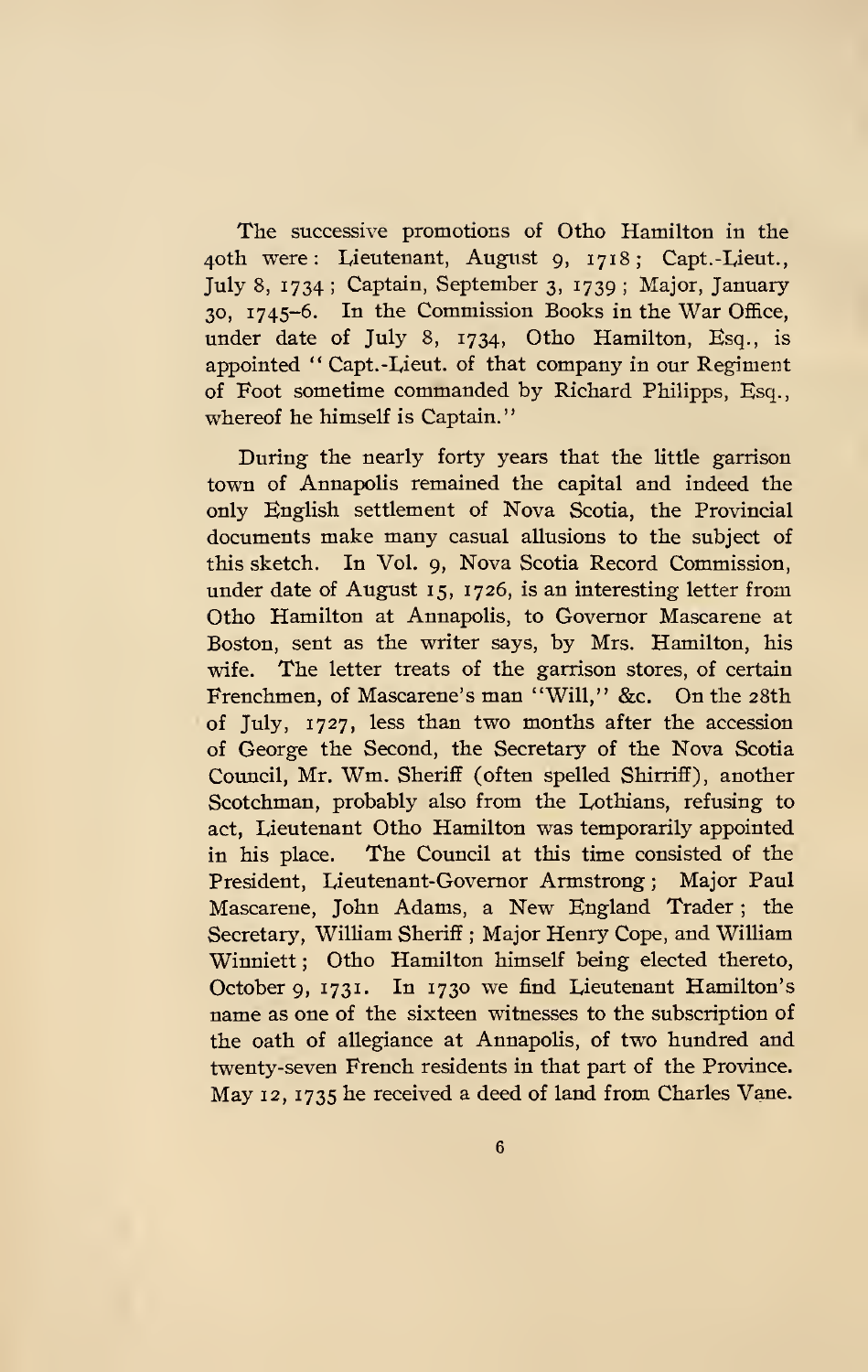The successive promotions of Otho Hamilton in the 40th were: Lieutenant, August 9, 1718 ; Capt. -Lieut., July 8, 1734 ; Captain, September 3, 1739 ; Major, January 30, 1745-6. In the Commission Books in the War Office, under date of July 8, 1734, Otho Hamilton, Esq., is appointed " Capt. -Lieut, of that company in our Regiment of Foot sometime commanded by Richard Philipps, Esq., whereof he himself is Captain."

During the nearly forty years that the little garrison town of Annapolis remained the capital and indeed the only English settlement of Nova Scotia, the Provincial documents make many casual allusions to the subject of this sketch. In Vol. 9, Nova Scotia Record Commission, under date of August 15, 1726, is an interesting letter from Otho Hamilton at Annapolis, to Governor Mascarene at Boston, sent as the writer says, by Mrs. Hamilton, his wife. The letter treats of the garrison stores, of certain Frenchmen, of Mascarene's man "Will," &c. On the 28th of July, 1727, less than two months after the accession of George the Second, the Secretary of the Nova Scotia Council, Mr. Wm. Sheriff (often spelled Shirriff), another Scotchman, probably also from the Lothians, refusing to act, Lieutenant Otho Hamilton was temporarily appointed in his place. The Council at this time consisted of the President, Lieutenant-Governor Armstrong ; Major Paul Mascarene, John Adams, a New England Trader ; the Secretary, William Sheriff ; Major Henry Cope, and William Winniett ; Otho Hamilton himself being elected thereto, October 9, 1731. In 1730 we find Lieutenant Hamilton's name as one of the sixteen witnesses to the subscription of the oath of allegiance at Annapolis, of two hundred and twenty-seven French residents in that part of the Province. May 12, 1735 he received a deed of land from Charles Vane.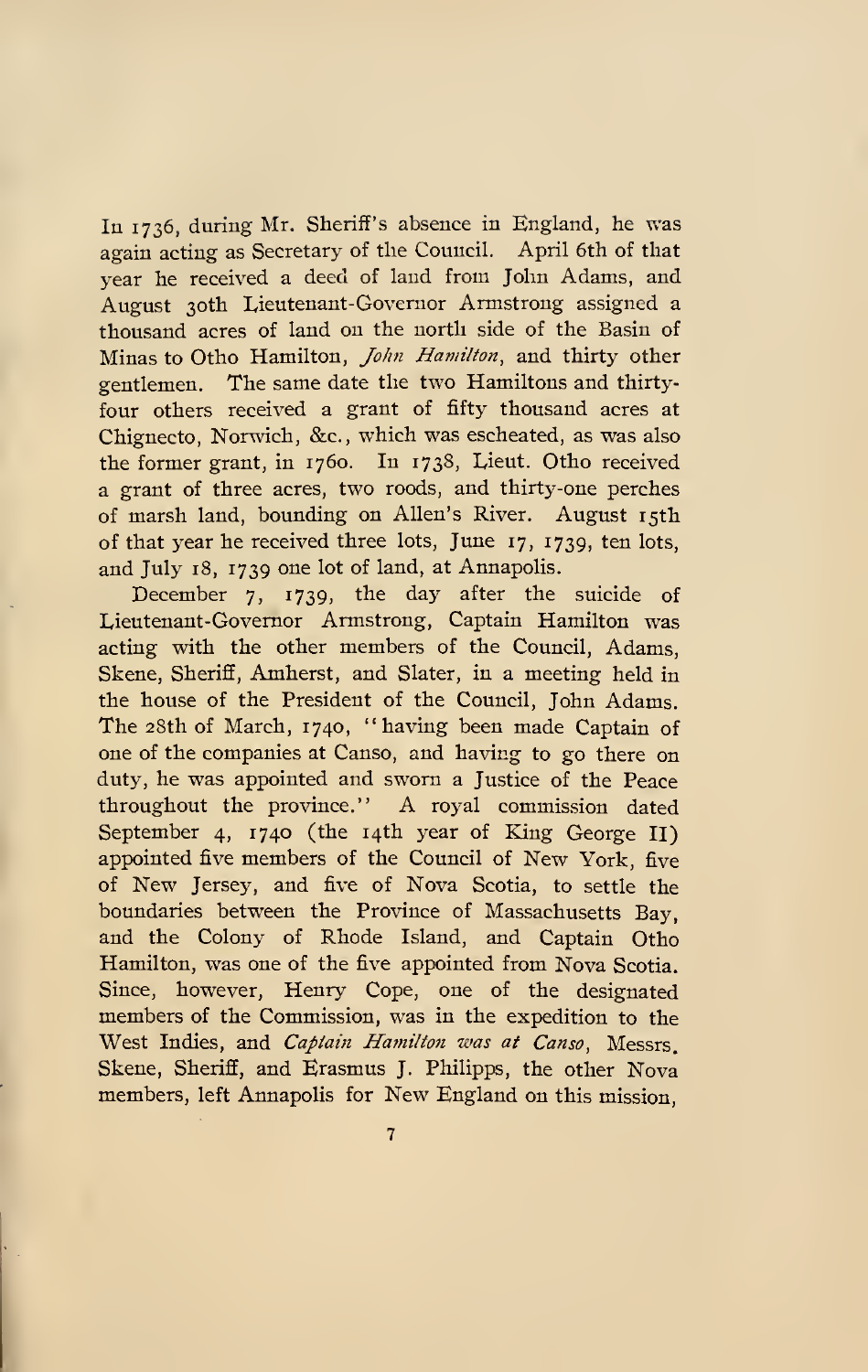In 1736, during Mr. Sheriff's absence in England, he was again acting as Secretary of the Council. April 6th of that year he received a deed of laud from John Adams, and August 30th Lieutenant-Governor Armstrong assigned a thousand acres of land on the north side of the Basin of Minas to Otho Hamilton, John Hamilton, and thirty other gentlemen. The same date the two Hamiltons and thirtyfour others received a grant of fifty thousand acres at Chignecto, Norwich, &c, which was escheated, as was also the former grant, in 1760. In 1738, Lieut. Otho received a grant of three acres, two roods, and thirty-one perches of marsh land, bounding on Allen's River. August 15th of that year he received three lots, June 17, 1739, ten lots, and July 18, 1739 one lot of land, at Annapolis.

December 7, 1739, the day after the suicide of Lieutenant-Governor Armstrong, Captain Hamilton was acting with the other members of the Council, Adams, Skene, Sheriff, Amherst, and Slater, in a meeting held in the house of the President of the Council, John Adams. The 28th of March, 1740, "having been made Captain of one of the companies at Canso, and having to go there on duty, he was appointed and sworn a Justice of the Peace throughout the province." A royal commission dated September 4, 1740 (the 14th year of King George II) appointed five members of the Council of New York, five of New Jersey, and five of Nova Scotia, to settle the boundaries between the Province of Massachusetts Bay, and the Colony of Rhode Island, and Captain Otho Hamilton, was one of the five appointed from Nova Scotia. Since, however, Henry Cope, one of the designated members of the Commission, was in the expedition to the West Indies, and Captain Hamilton was at Canso, Messrs. Skene, Sheriff, and Erasmus J. Philipps, the other Nova members, left Annapolis for New England on this mission,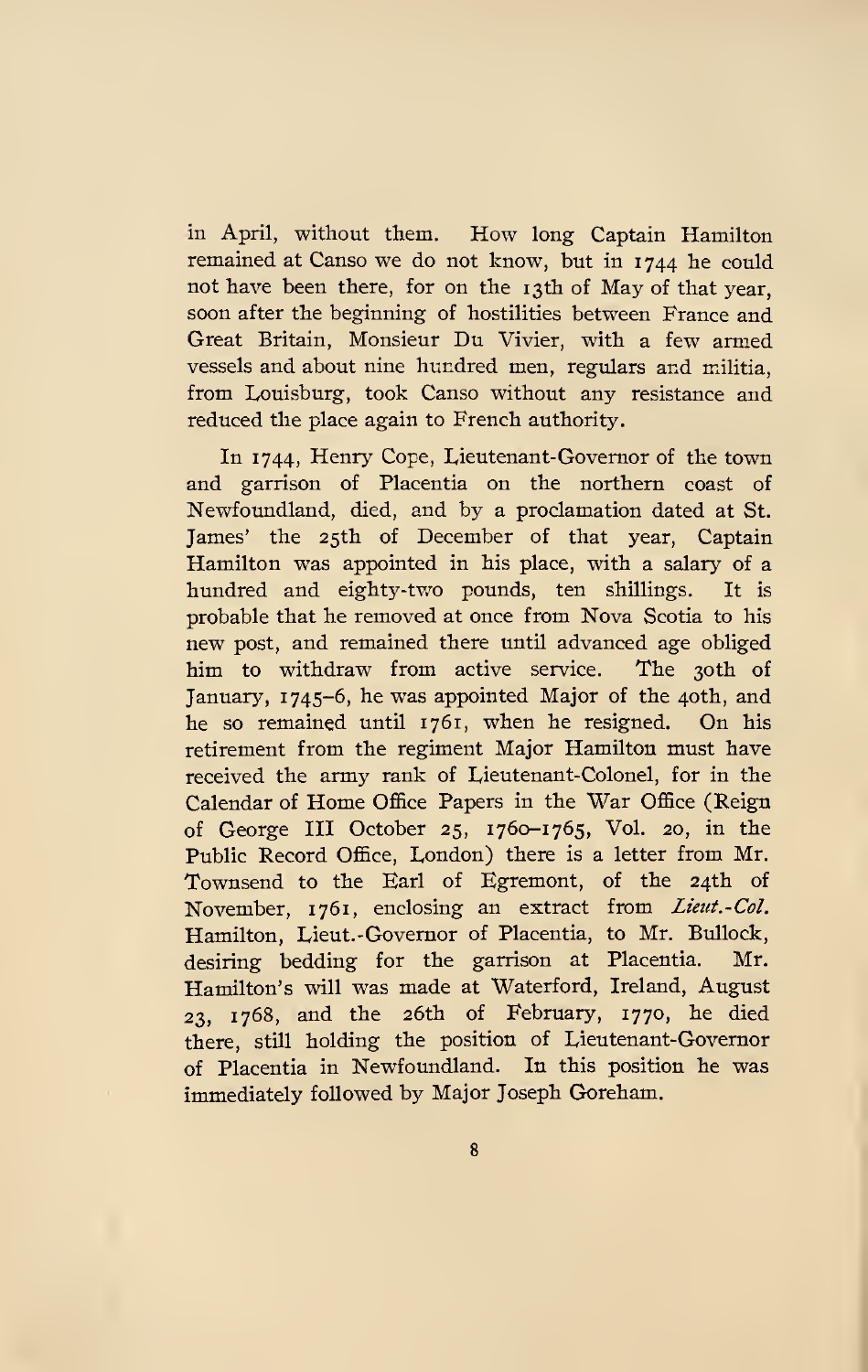in April, without them. How long Captain Hamilton remained at Canso we do not know, but in <sup>1744</sup> he could not have been there, for on the 13th of May of that year, soon after the beginning of hostilities between France and Great Britain, Monsieur Du Vivier, with <sup>a</sup> few armed vessels and about nine hundred men, regulars and militia, from Louisburg, took Canso without any resistance and reduced the place again to French authority.

In 1744, Henry Cope, Lieutenant-Governor of the town and garrison of Placentia on the northern coast of Newfoundland, died, and by a proclamation dated at St. James' the 25th of December of that year, Captain Hamilton was appointed in his place, with a salary of a hundred and eighty-two pounds, ten shillings. It is probable that he removed at once from Nova Scotia to his new post, and remained there until advanced age obliged him to withdraw from active service. The 30th of January, 1745-6, he was appointed Major of the 40th, and he so remained until 1761, when he resigned. On his retirement from the regiment Major Hamilton must have received the army rank of Lieutenant-Colonel, for in the Calendar of Home Office Papers in the War Office (Reign of George III October 25, 1760-1765, Vol. 20, in the Public Record Office, London) there is a letter from Mr. Townsend to the Earl of Egremont, of the 24th of November, 1761, enclosing an extract from Lieut.-Col. Hamilton, Lieut. -Governor of Placentia, to Mr. Bullock, desiring bedding for the garrison at Placentia. Mr. Hamilton's will was made at Waterford, Ireland, August 23, 1768, and the 26th of February, 1770, he died there, still holding the position of Lieutenant-Governor of Placentia in Newfoundland. In this position he was immediately followed by Major Joseph Goreham.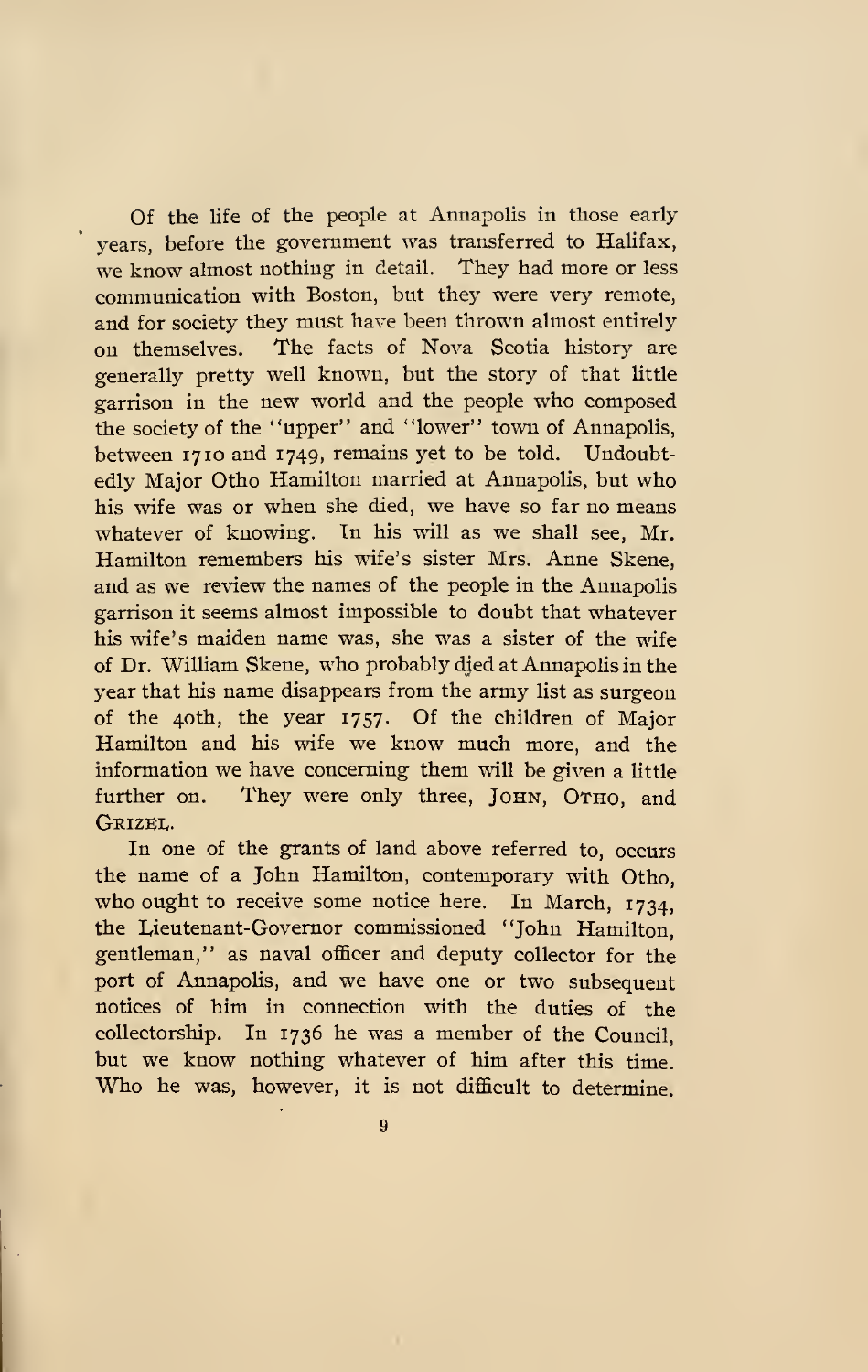Of the life of the people at Annapolis in those early years, before the government was transferred to Halifax, we know almost nothing in detail. They had more or less communication with Boston, but they were very remote, and for society they must have been thrown almost entirely on themselves. The facts of Nova Scotia history are generally pretty well known, but the story of that little garrison in the new world and the people who composed the society of the "upper" and "lower" town of Annapolis, between 1710 and 1749, remains yet to be told. Undoubtedly Major Otho Hamilton married at Annapolis, but who his wife was or when she died, we have so far no means whatever of knowing. In his will as we shall see, Mr. Hamilton remembers his wife's sister Mrs. Anne Skene, and as we review the names of the people in the Annapolis garrison it seems almost impossible to doubt that whatever his wife's maiden name was, she was a sister of the wife of Dr. William Skene, who probably djed at Annapolis in the year that his name disappears from the army list as surgeon of the 40th, the year 1757. Of the children of Major Hamilton and his wife we know much more, and the information we have concerning them will be given a little further on. They were only three, JOHN, OTHO, and Grizel.

In one of the grants of land above referred to, occurs the name of a John Hamilton, contemporary with Otho, who ought to receive some notice here. In March, 1734, the lieutenant-Governor commissioned "John Hamilton, gentleman," as naval officer and deputy collector for the port of Annapolis, and we have one or two subsequent notices of him in connection with the duties of the collectorship. In 1736 he was a member of the Council, but we know nothing whatever of him after this time. Who he was, however, it is not difficult to determine.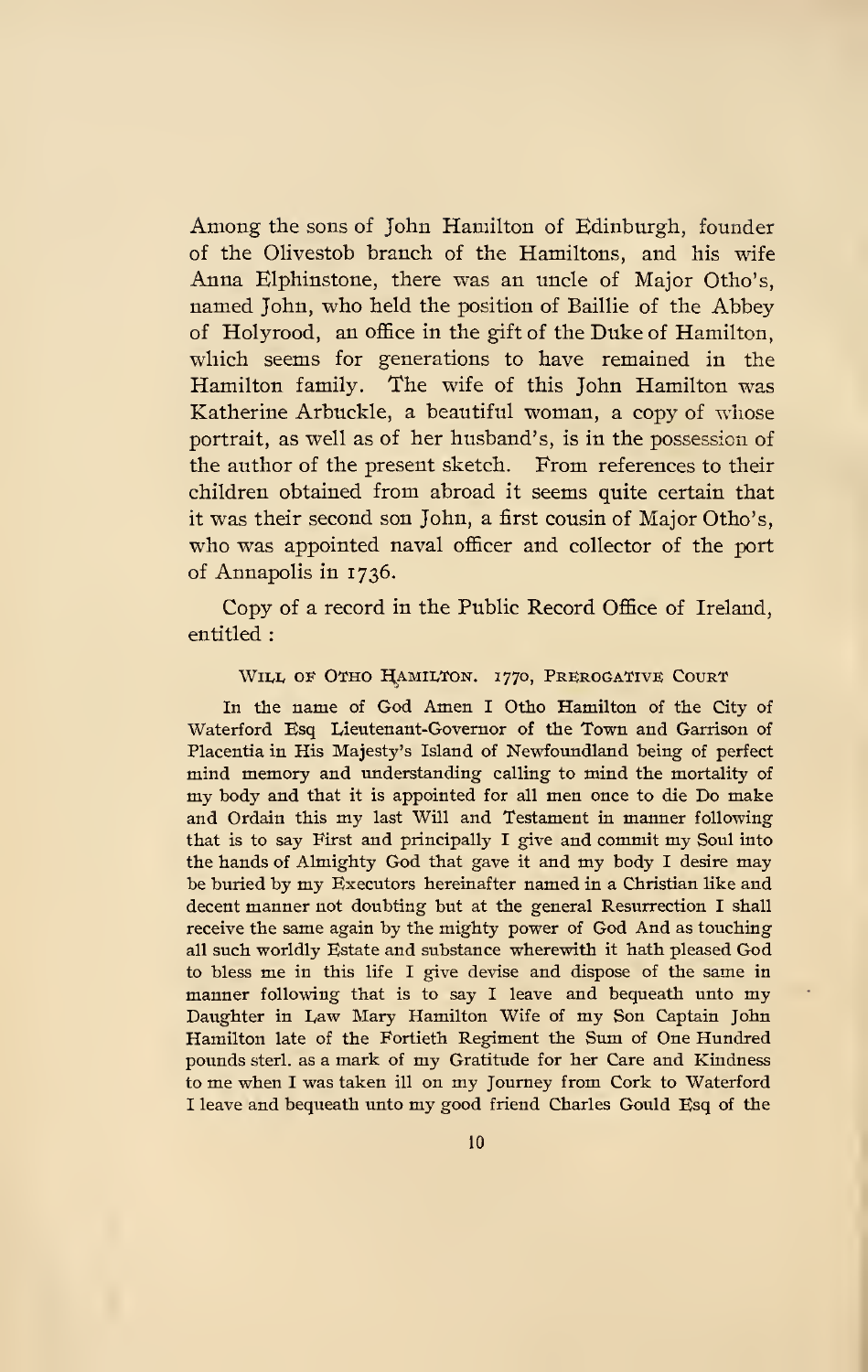Among the sons of John Hamilton of Edinburgh, founder of the Olivestob branch of the Hamiltons, and his wife Anna Elphinstone, there was an uncle of Major Otho's, named John, who held the position of Baillie of the Abbey of Holyrood, an office in the gift of the Duke of Hamilton, which seems for generations to have remained in the Hamilton family. The wife of this John Hamilton was Katherine Arbuckle, a beautiful woman, a copy of whose portrait, as well as of her husband's, is in the possession of the author of the present sketch. From references to their children obtained from abroad it seems quite certain that it was their second son John, a first cousin of Major Otho's, who was appointed naval officer and collector of the port of Annapolis in 1736.

Copy of a record in the Public Record Office of Ireland, entitled :

#### WILL OF OTHO HAMILTON. 1770, PREROGATIVE COURT

In the name of God Amen <sup>I</sup> Otho Hamilton of the City of Waterford Esq Lieutenant-Governor of the Town and Garrison of Placentia in His Majesty's Island of Newfoundland being of perfect mind memory and understanding calling to mind the mortality of my body and that it is appointed for all men once to die Do make and Ordain this my last Will and Testament in manner following that is to say First and principally <sup>I</sup> give and commit my Soul into the hands of Almighty God that gave it and my body <sup>I</sup> desire may be buried by my Executors hereinafter named in <sup>a</sup> Christian like and decent manner not doubting but at the general Resurrection <sup>I</sup> shall receive the same again by the mighty power of God And as touching all such worldly Estate and substance wherewith it hath pleased God to bless me in this life <sup>I</sup> give devise and dispose of the same in manner following that is to say <sup>I</sup> leave and bequeath unto my Daughter in Daw Mary Hamilton Wife of my Son Captain John Hamilton late of the Fortieth Regiment the Sum of One Hundred pounds sterl. as <sup>a</sup> mark of my Gratitude for her Care and Kindness to me when <sup>I</sup>was taken ill on my Journey from Cork to Waterford <sup>I</sup> leave and bequeath unto my good friend Charles Gould Esq of the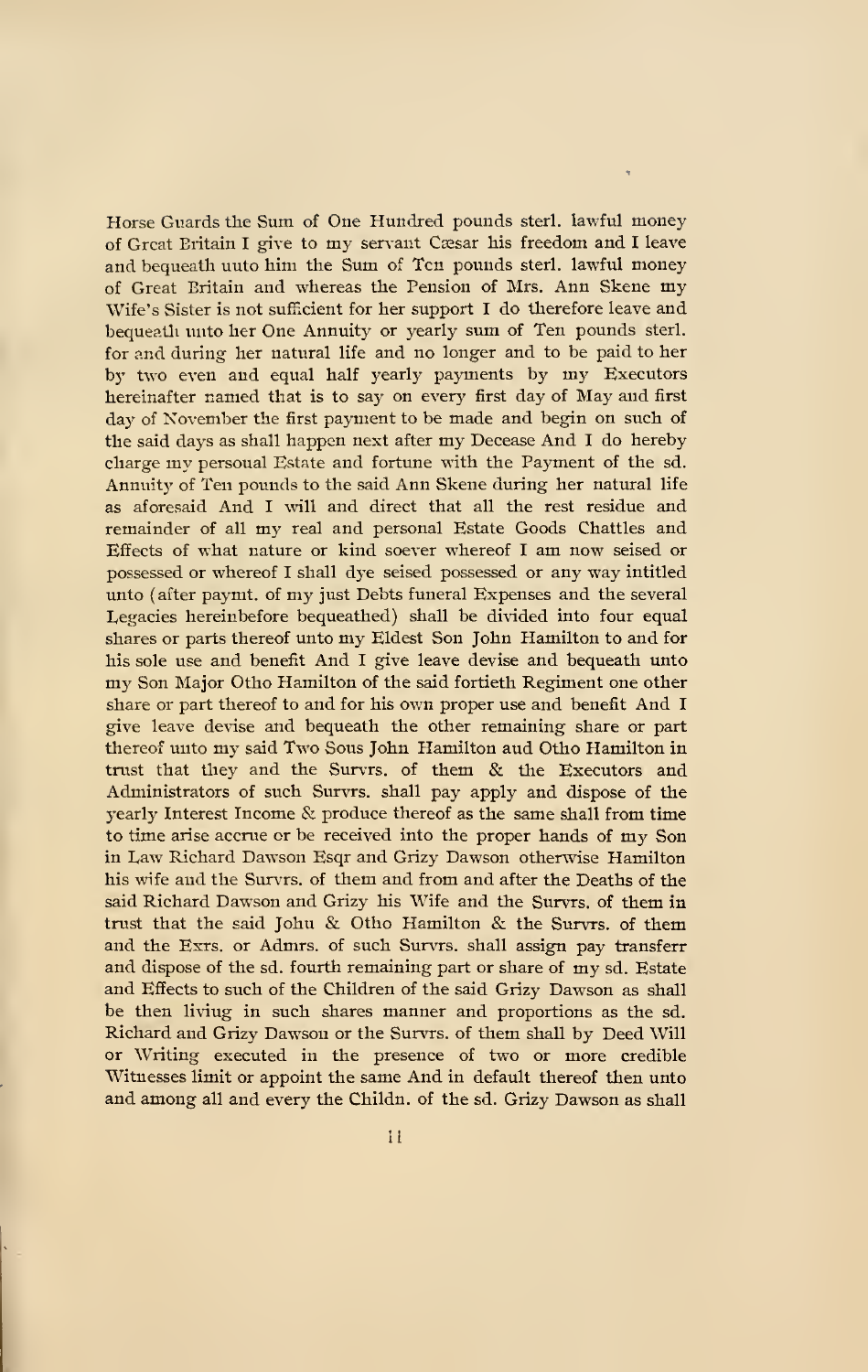Horse Guards the Sum of One Hundred pounds sterl. lawful money of Great Britain <sup>I</sup> give to my servant Cassar his freedom and <sup>I</sup> leave and bequeath unto him the Sum of Ten pounds sterl. lawful money of Great Britain and whereas the Pension of Mrs. Ann Skene my Wife's Sister is not sufficient for her support <sup>I</sup> do therefore leave and bequeath unto her One Annuity or yearly sum of Ten pounds sterl. for and during her natural life and no longer and to be paid to her by two even and equal half yearly payments by my Executors hereinafter named that is to say on every first day of May and first day of November the first payment to be made and begin on such of the said days as shall happen next after my Decease And I do hereby charge my personal Estate and fortune with the Payment of the sd. Annuity of Ten pounds to the said Ann Skene during her natural life as aforesaid And <sup>I</sup> will and direct that all the rest residue and remainder of all my real and personal Estate Goods Chatties and Effects of what nature or kind soever whereof <sup>I</sup> am now seised or possessed or whereof <sup>I</sup> shall dye seised possessed or any way intitled unto (after paymt. of my just Debts funeral Expenses and the several Legacies hereinbefore bequeathed) shall be divided into four equal shares or parts thereof unto my Eldest Son John Hamilton to and for his sole use and benefit And <sup>I</sup> give leave devise and bequeath unto my Son Major Otho Hamilton of the said fortieth Regiment one other share or part thereof to and for his own proper use and benefit And <sup>I</sup> give leave devise and bequeath the other remaining share or part thereof unto my said Two Sons John Hamilton and Otho Hamilton in trust that they and the Survrs. of them & the Executors and Administrators of such Survrs. shall pay apply and dispose of the yearly Interest Income & produce thereof as the same shall from time to time arise accrue or be received into the proper hands of my Son in Law Richard Dawson Esqr and Grizy Dawson otherwise Hamilton his wife and the Survrs. of them and from and after the Deaths of the said Richard Dawson and Grizy his Wife and the Survrs. of them in trust that the said John & Otho Hamilton & the Survrs. of them and the Exrs. or Admrs. of such Survrs. shall assign pay transferr and dispose of the sd. fourth remaining part or share of my sd. Estate and Effects to such of the Children of the said Grizy Dawson as shall be then living in such shares manner and proportions as the sd. Richard and Grizy Dawson or the Survrs. of them shall by Deed Will or Writing executed in the presence of two or more credible Witnesses limit or appoint the same And in default thereof then unto and among all and every the Childn. of the sd. Grizy Dawson as shall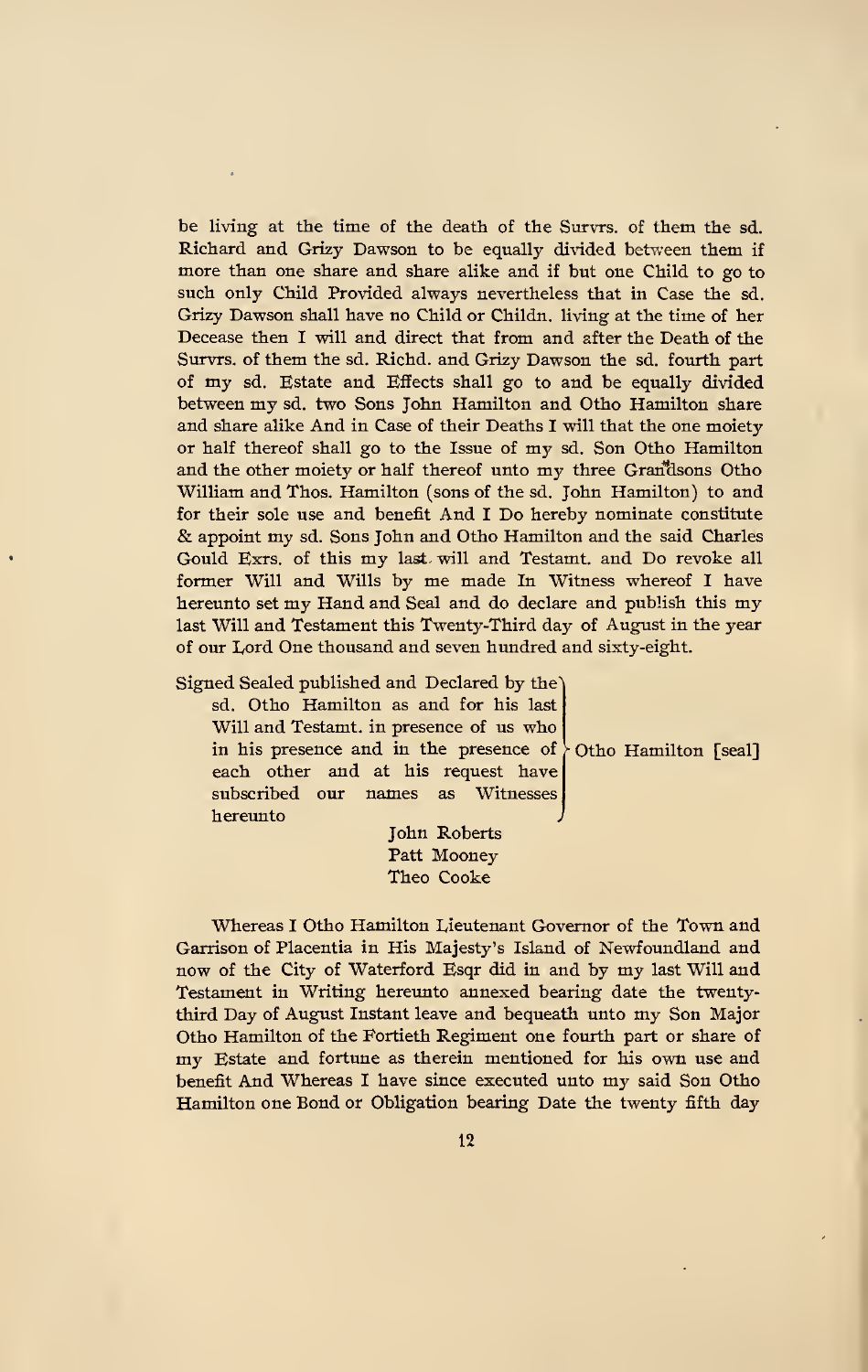be living at the time of the death of the Survrs. of them the sd. Richard and Grizy Dawson to be equally divided between them if more than one share and share alike and if but one Child to go to such only Child Provided always nevertheless that in Case the sd. Grizy Dawson shall have no Child or Childn. living at the time of her Decease then I will and direct that from and after the Death of the Survrs. of them the sd. Richd. and Grizy Dawson the sd. fourth part of my sd. Estate and Effects shall go to and be equally divided between my sd. two Sons John Hamilton and Otho Hamilton share and share alike And in Case of their Deaths <sup>I</sup> will that the one moiety or half thereof shall go to the Issue of my sd. Son Otho Hamilton and the other moiety or half thereof unto my three Grantlsons Otho William and Thos. Hamilton (sons of the sd. John Hamilton) to and for their sole use and benefit And <sup>I</sup> Do hereby nominate constitute & appoint my sd. Sons John and Otho Hamilton and the said Charles Gould Exrs. of this my last will and Testamt. and Do revoke all former Will and Wills by me made In Witness whereof <sup>I</sup> have hereunto set my Hand and Seal and do declare and publish this my last Will and Testament this Twenty-Third day of August in the year of our Lord One thousand and seven hundred and sixty-eight.

| Signed Sealed published and Declared by the)                     |  |
|------------------------------------------------------------------|--|
| sd. Otho Hamilton as and for his last                            |  |
| Will and Testamt. in presence of us who                          |  |
| in his presence and in the presence of $\}$ Otho Hamilton [seal] |  |
| each other and at his request have                               |  |
| subscribed our names as Witnesses                                |  |
| hereunto                                                         |  |
| John Roberts                                                     |  |
| -                                                                |  |

Patt Mooney Theo Cooke

Whereas <sup>I</sup> Otho Hamilton Lieutenant Governor of the Town and Garrison of Placentia in His Majesty's Island of Newfoundland and now of the City of Waterford Esqr did in and by my last Will and Testament in Writing hereunto annexed bearing date the twentythird Day of August Instant leave and bequeath unto my Son Major Otho Hamilton of the Fortieth Regiment one fourth part or share of my Estate and fortune as therein mentioned for his own use and benefit And Whereas <sup>I</sup> have since executed unto my said Son Otho Hamilton one Bond or Obligation bearing Date the twenty fifth day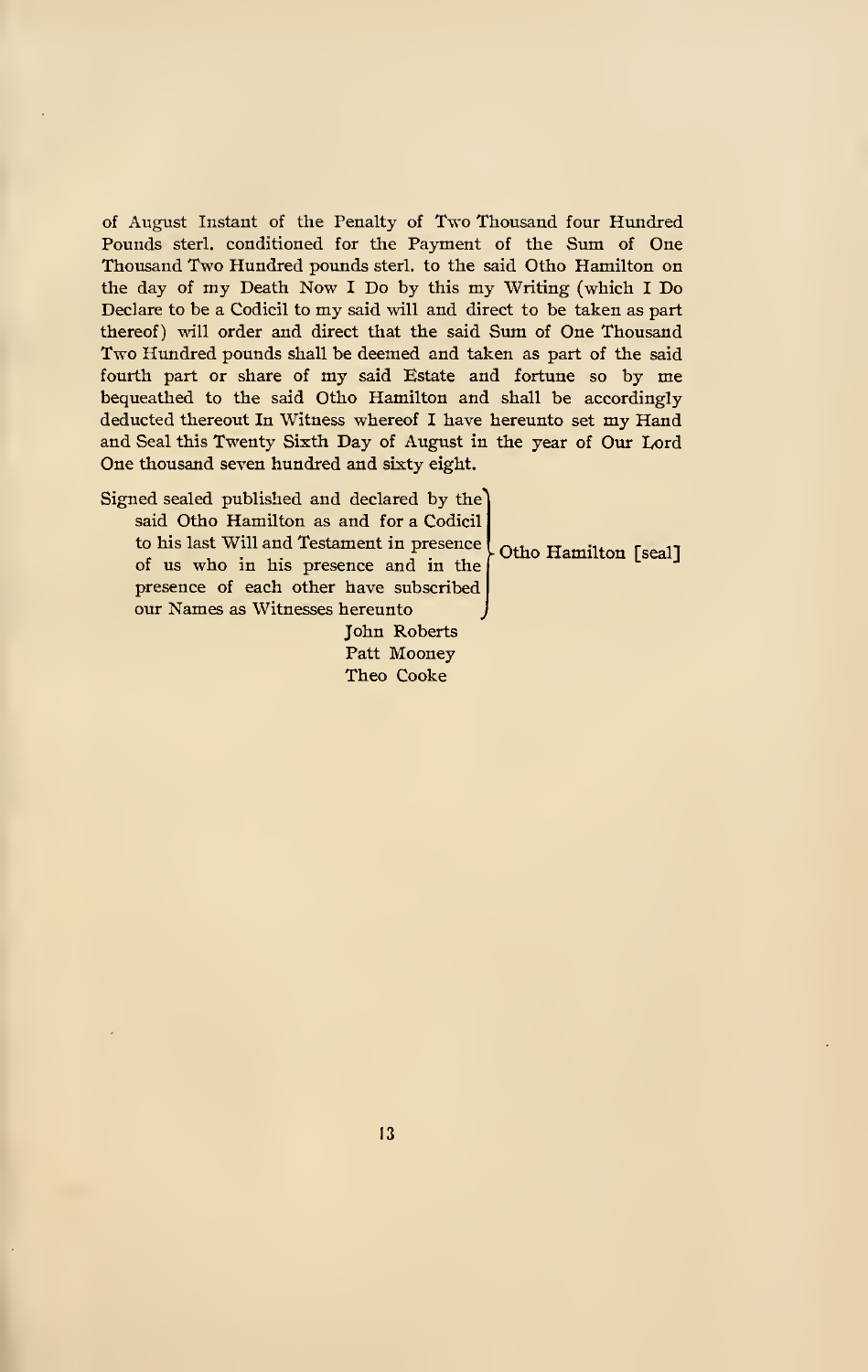of August Instant of the Penalty of Two Thousand four Hundred Pounds sterl. conditioned for the Payment of the Sum of One Thousand Two Hundred pounds sterl. to the said Otho Hamilton on the day of my Death Now I Do by this my Writing (which I Do Declare to be <sup>a</sup> Codicil to my said will and direct to be taken as part thereof) will order and direct that the said Sum of One Thousand Two Hundred pounds shall be deemed and taken as part of the said fourth part or share of my said Estate and fortune so by me bequeathed to the said Otho Hamilton and shall be accordingly deducted thereout In Witness whereof <sup>I</sup> have hereunto set my Hand and Seal this Twenty Sixth Day of August in the year of Our Lord One thousand seven hundred and sixty eight.

Signed sealed published and declared by the said Otho Hamilton as and for a Codicil to his last Will and Testament in presence Otho Hamilton [seal] of us who in his presence and in the presence of each other have subscribed our Names as Witnesses hereunto

> John Roberts Patt Mooney Theo Cooke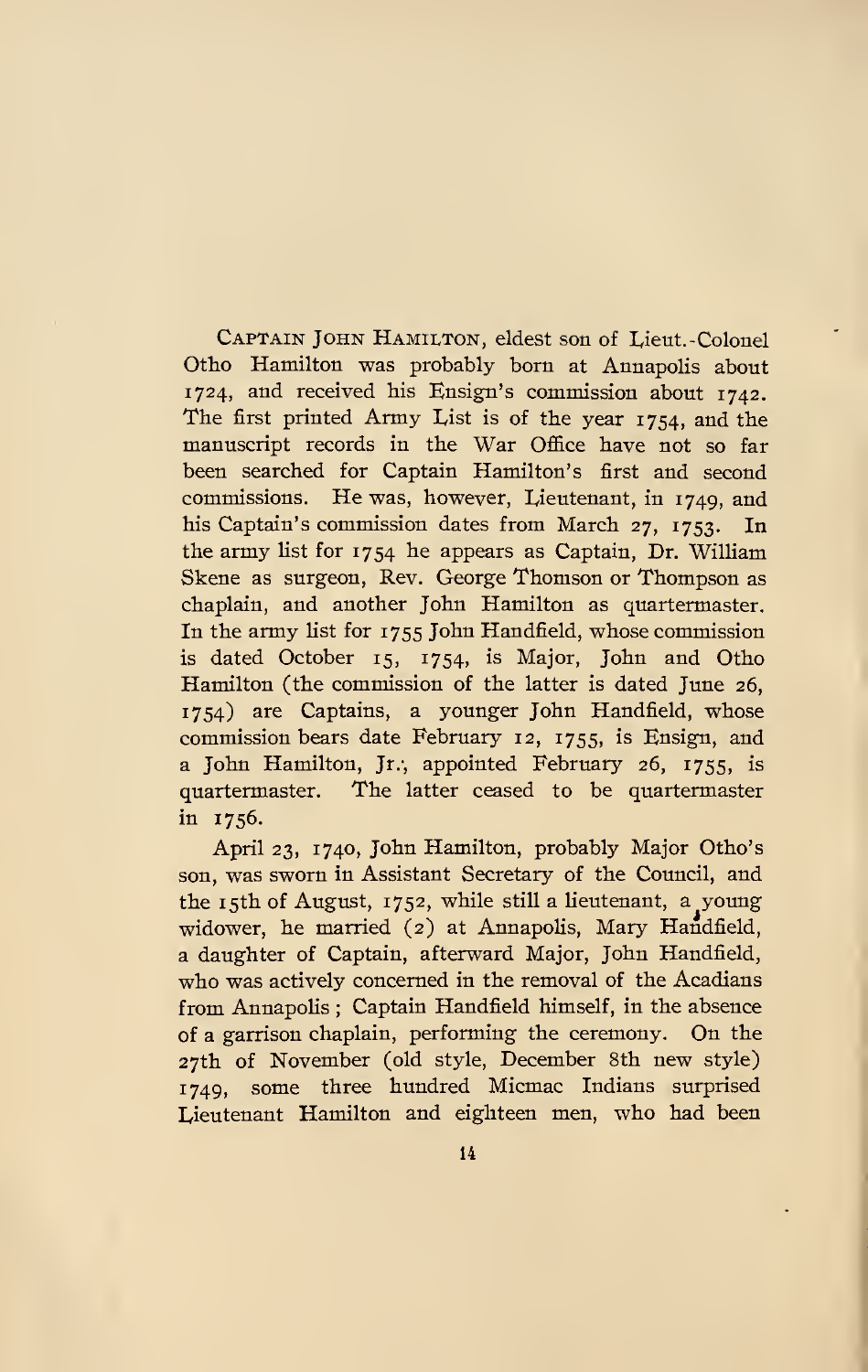Captain John Hamilton, eldest son of Lieut. -Colonel Otho Hamilton was probably born at Annapolis about 1724, and received his Ensign's commission about 1742. The first printed Army List is of the year 1754, and the manuscript records in the War Office have not so far been searched for Captain Hamilton's first and second commissions. He was, however, Lieutenant, in 1749, and his Captain's commission dates from March 27, 1753. In the army list for 1754 he appears as Captain, Dr. William Skene as surgeon, Rev. George Thomson or Thompson as chaplain, and another John Hamilton as quartermaster. In the army list for 1755 John Handfield, whose commission is dated October 15, 1754, is Major, John and Otho Hamilton (the commission of the latter is dated June 26, 1754) are Captains, a younger John Handheld, whose commission bears date February 12, 1755, is Ensign, and a John Hamilton, Jr.; appointed February 26, 1755, is quartermaster. The latter ceased to be quartermaster in 1756.

April 23, 1740, John Hamilton, probably Major Otho's son, was sworn in Assistant Secretary of the Council, and the 15th of August, 1752, while still a lieutenant, a young widower, he married (2) at Annapolis, Mary Handheld, a daughter of Captain, afterward Major, John Handheld, who was actively concerned in the removal of the Acadians from Annapolis ; Captain Handfield himself, in the absence of a garrison chaplain, performing the ceremony. On the 27th of November (old style, December 8th new style) 1749, some three hundred Micmac Indians surprised Lieutenant Hamilton and eighteen men, who had been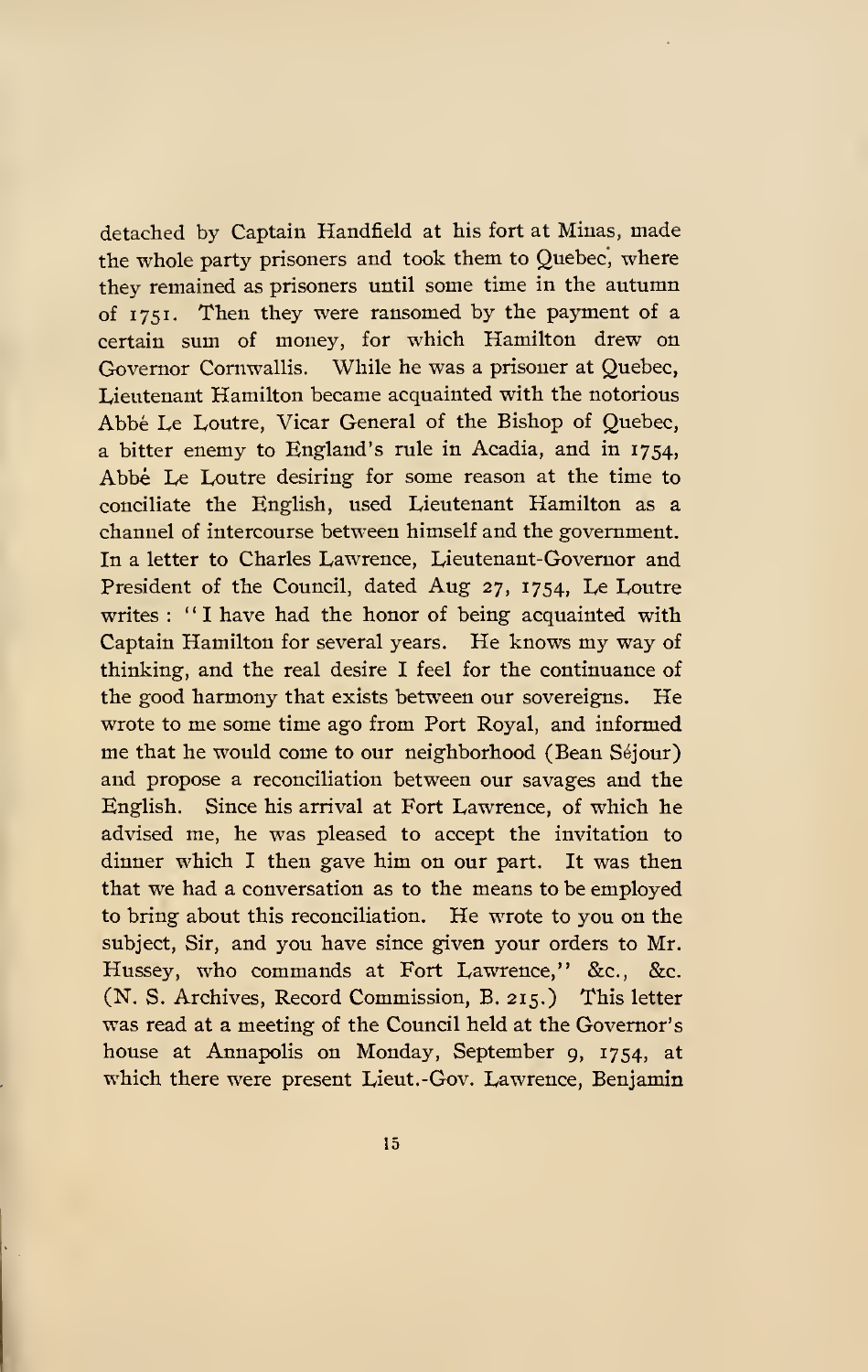detached by Captain Handfield at his fort at Minas, made the whole party prisoners and took them to Quebec, where they remained as prisoners until some time in the autumn of 1751. Then they were ransomed by the payment of a certain sum of money, for which Hamilton drew on Governor Cornwallis. While he was a prisoner at Quebec, Lieutenant Hamilton became acquainted with the notorious Abbe Le Loutre, Vicar General of the Bishop of Quebec, a bitter enemy to England's rule in Acadia, and in 1754, Abbe Le Loutre desiring for some reason at the time to conciliate the English, used lieutenant Hamilton as a channel of intercourse between himself and the government. In a letter to Charles Lawrence, Lieutenant-Governor and President of the Council, dated Aug 27, 1754, Le Eoutre writes : "I have had the honor of being acquainted with Captain Hamilton for several years. He knows my way of thinking, and the real desire I feel for the continuance of the good harmony that exists between our sovereigns. He wrote to me some time ago from Port Royal, and informed me that he would come to our neighborhood (Bean Sejour) and propose a reconciliation between our savages and the English. Since his arrival at Fort Lawrence, of which he advised me, he was pleased to accept the invitation to dinner which <sup>I</sup> then gave him on our part. It was then that we had a conversation as to the means to be employed to bring about this reconciliation. He wrote to you on the subject, Sir, and you have since given your orders to Mr. Hussey, who commands at Fort Lawrence," &c, &c. (N. S. Archives, Record Commission, B. 215.) This letter was read at a meeting of the Council held at the Governor's house at Annapolis on Monday, September 9, 1754, at which there were present Lieut. Gov. Lawrence, Benjamin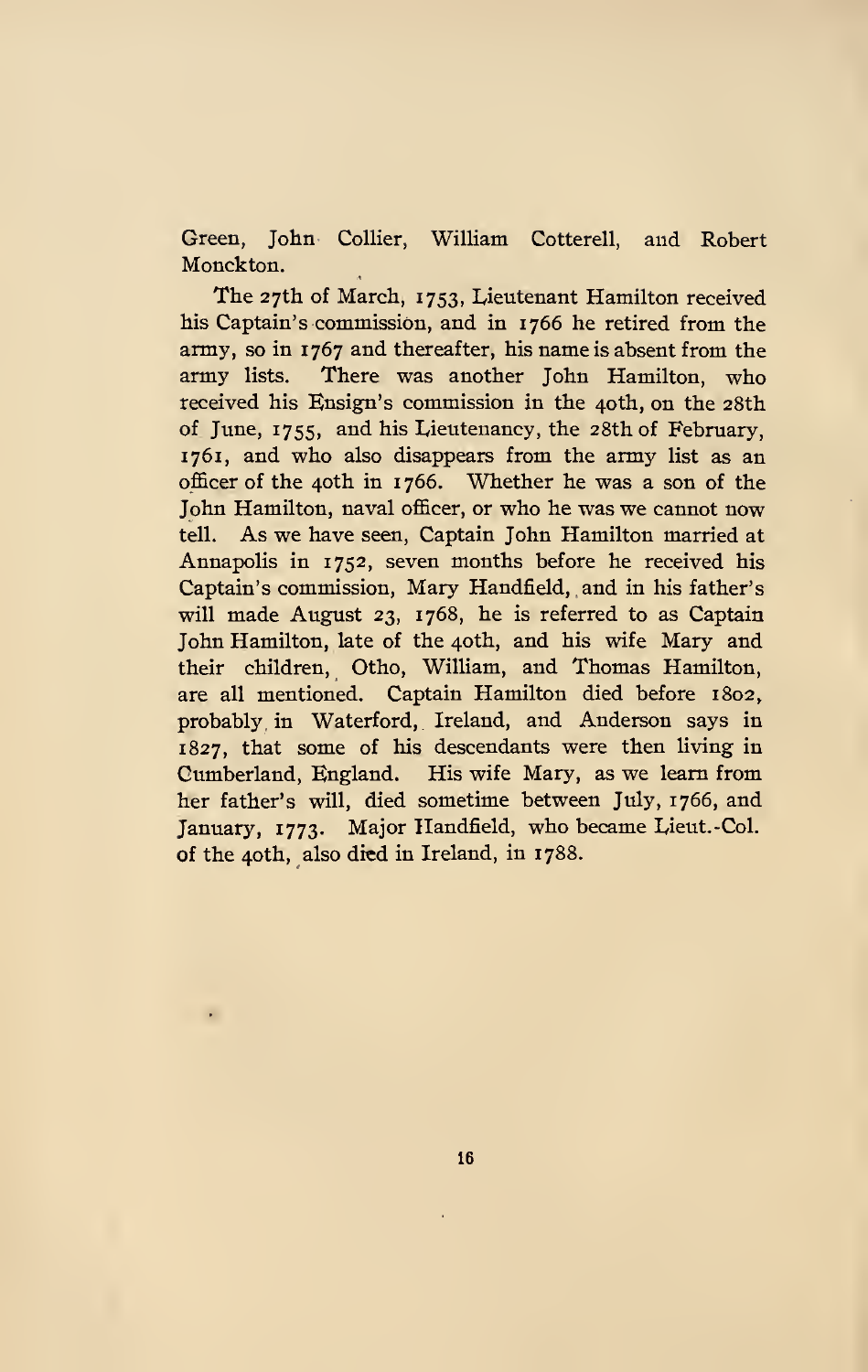Green, John Collier, William Cotterell, and Robert Monckton.

The 27th of March, 1753, Lieutenant Hamilton received his Captain's commission, and in 1766 he retired from the army, so in 1767 and thereafter, his name is absent from the army lists. There was another John Hamilton, who received his Ensign's commission in the 40th, on the 28th of June, 1755, and his Lieutenancy, the 28th of February, 1761, and who also disappears from the army list as an officer of the 40th in 1766. Whether he was a son of the John Hamilton, naval officer, or who he was we cannot now tell. As we have seen, Captain John Hamilton married at Annapolis in 1752, seven months before he received his Captain's commission, Mary Handfield, and in his father's will made August 23, 1768, he is referred to as Captain John Hamilton, late of the 40th, and his wife Mary and their children, Otho, William, and Thomas Hamilton, are all mentioned. Captain Hamilton died before 1802, probably in Waterford, Ireland, and Anderson says in 1827, that some of his descendants were then living in Cumberland, England. His wife Mary, as we learn from her father's will, died sometime between July, 1766, and January, 1773. Major Handfield, who became Lieut. -Col. of the 40th, also died in Ireland, in 1788.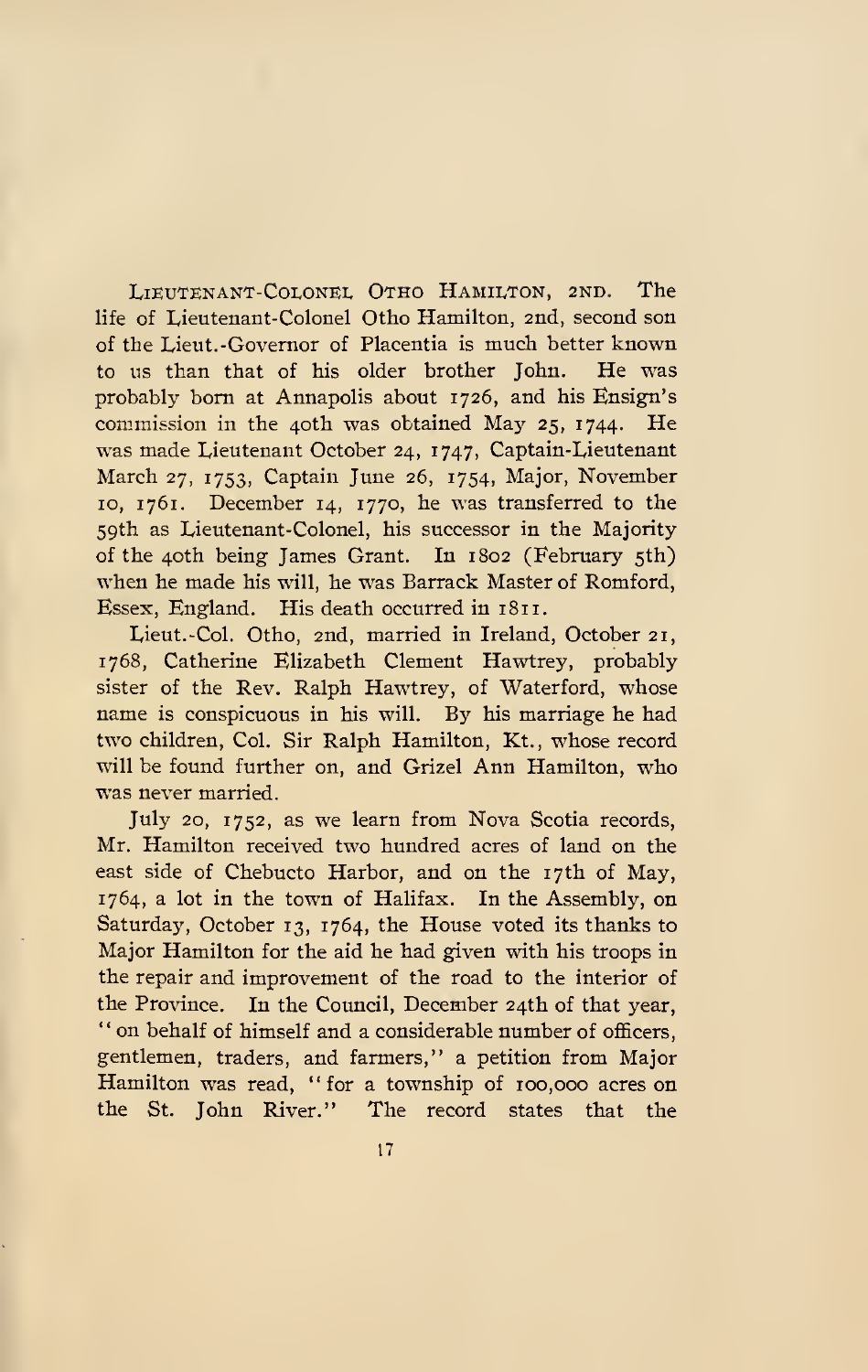Lieutenant-Colonel Otho Hamilton, 2nd. The life of Lieutenant- Colonel Otho Hamilton, 2nd, second son of the Lieut. -Governor of Placentia is much better known to us than that of his older brother John. He was probably born at Annapolis about 1726, and his Ensign's commission in the 40th was obtained May 25, 1744. He was made Lieutenant October 24, 1747, Captain-Lieutenant March 27, 1753, Captain June 26, 1754, Major, November io, 1761. December 14, 1770, he was transferred to the 59th as Lieutenant-Colonel, his successor in the Majority of the 40th being James Grant. In 1802 (February 5th) when he made his will, he was Barrack Master of Romford, Essex, England. His death occurred in 1811.

Lieut. -Col. Otho, 2nd, married in Ireland, October 21, 1768, Catherine Elizabeth Clement Hawtrey, probably sister of the Rev. Ralph Hawtrey, of Waterford, whose name is conspicuous in his will. By his marriage he had two children, Col. Sir Ralph Hamilton, Kt., whose record will be found further on, and Grizel Ann Hamilton, who was never married.

July 20, 1752, as we learn from Nova Scotia records, Mr. Hamilton received two hundred acres of land on the east side of Chebucto Harbor, and on the 17th of May, 1764, a lot in the town of Halifax. In the Assembly, on Saturday, October 13, 1764, the House voted its thanks to Major Hamilton for the aid he had given with his troops in the repair and improvement of the road to the interior of the Province. In the Council, December 24th of that year, ' ' on behalf of himself and a considerable number of officers, gentlemen, traders, and farmers," a petition from Major Hamilton was read, "for a township of 100,000 acres on the St. John River." The record states that the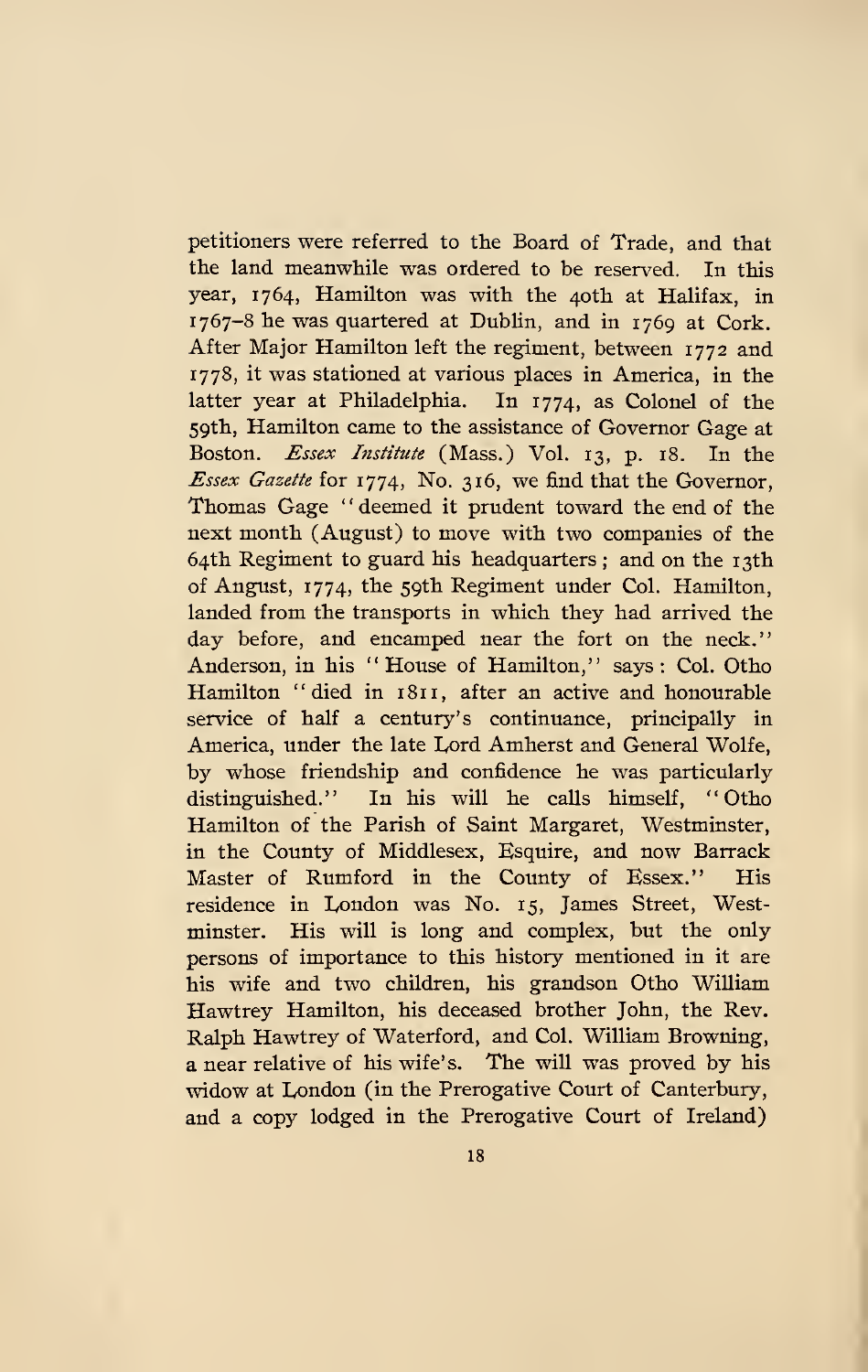petitioners were referred to the Board of Trade, and that the land meanwhile was ordered to be reserved. In this year, 1764, Hamilton was with the 40th at Halifax, in 1767-8 he was quartered at Dublin, and in 1769 at Cork. After Major Hamilton left the regiment, between 1772 and 1778, it was stationed at various places in America, in the latter year at Philadelphia. In 1774, as Colonel of the 59th, Hamilton came to the assistance of Governor Gage at Boston. Essex Institute (Mass.) Vol. 13, p. 18. In the Essex Gazette for 1774, No. 316, we find that the Governor, Thomas Gage ' ' deemed it prudent toward the end of the next month (August) to move with two companies of the 64th Regiment to guard his headquarters ; and on the 13th of Angust, 1774, the 59th Regiment under Col. Hamilton, landed from the transports in which they had arrived the day before, and encamped near the fort on the neck." Anderson, in his ''House of Hamilton,'' says : Col. Otho Hamilton "died in 1811, after an active and honourable service of half a century's continuance, principally in America, under the late Lord Amherst and General Wolfe, by whose friendship and confidence he was particularly distinguished." In his will he calls himself, "Otho Hamilton of the Parish of Saint Margaret, Westminster, in the County of Middlesex, Esquire, and now Barrack Master of Rumford in the County of Essex." His residence in London was No. 15, James Street, Westminster. His will is long and complex, but the only persons of importance to this history mentioned in it are his wife and two children, his grandson Otho William Hawtrey Hamilton, his deceased brother John, the Rev. Ralph Hawtrey of Waterford, and Col. William Browning, a near relative of his wife's. The will was proved by his widow at London (in the Prerogative Court of Canterbury, and a copy lodged in the Prerogative Court of Ireland)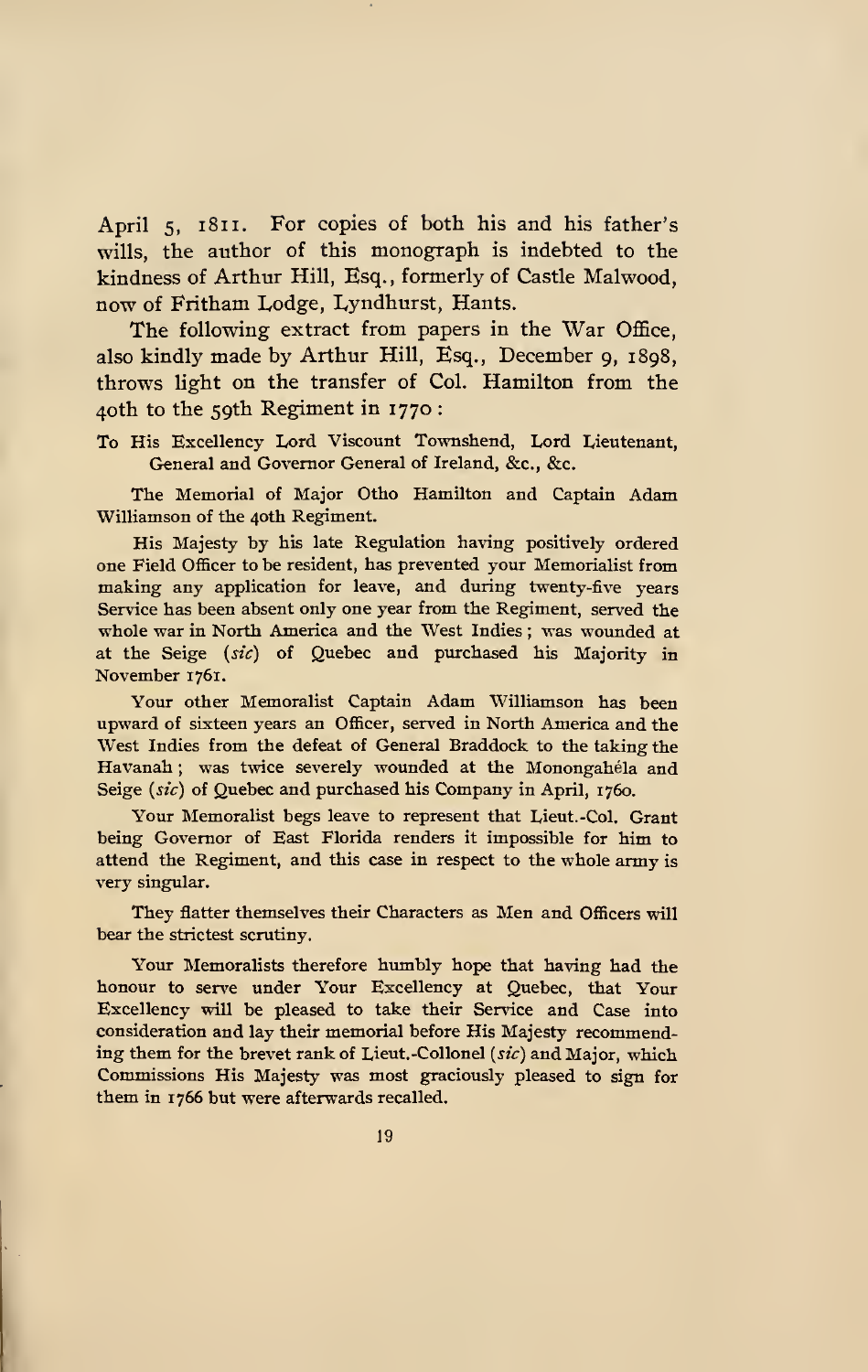April 5, 1811. For copies of both his and his father's wills, the author of this monograph is indebted to the kindness of Arthur Hill, Esq., formerly of Castle Malwood, now of Fritham Lodge, Eyndhurst, Hants.

The following extract from papers in the War Office, also kindly made by Arthur Hill, Esq., December 9, 1898, throws light on the transfer of Col. Hamilton from the 40th to the 59th Regiment in 1770 :

To His Excellency Lord Viscount Townshend, Lord Lieutenant, General and Governor General of Ireland, &c, &c.

The Memorial of Major Otho Hamilton and Captain Adam Williamson of the 40th Regiment.

His Majesty by his late Regulation having positively ordered one Field Officer to be resident, has prevented your Memorialist from making any application for leave, and during twenty-five years Service has been absent only one year from the Regiment, served the whole war in North America and the West Indies ; was wounded at at the Seige (sic) of Quebec and purchased his Majority in November 1761.

Your other Memoralist Captain Adam Williamson has been upward of sixteen years an Officer, served in North America and the West Indies from the defeat of General Braddock to the taking the Havanah ; was twice severely wounded at the Monongahela and Seige (sic) of Quebec and purchased his Company in April, 1760.

Your Memoralist begs leave to represent that Lieut.-Col. Grant being Governor of East Florida renders it impossible for him to attend the Regiment, and this case in respect to the whole army is very singular.

They flatter themselves their Characters as Men and Officers will bear the strictest scrutiny.

Your Memoralists therefore humbly hope that having had the honour to serve under Your Excellency at Quebec, that Your Excellency will be pleased to take their Service and Case into consideration and lay their memorial before His Majesty recommending them for the brevet rank of Lieut. -Collonel  $(sic)$  and Major, which Commissions His Majesty was most graciously pleased to sign for them in 1766 but were afterwards recalled.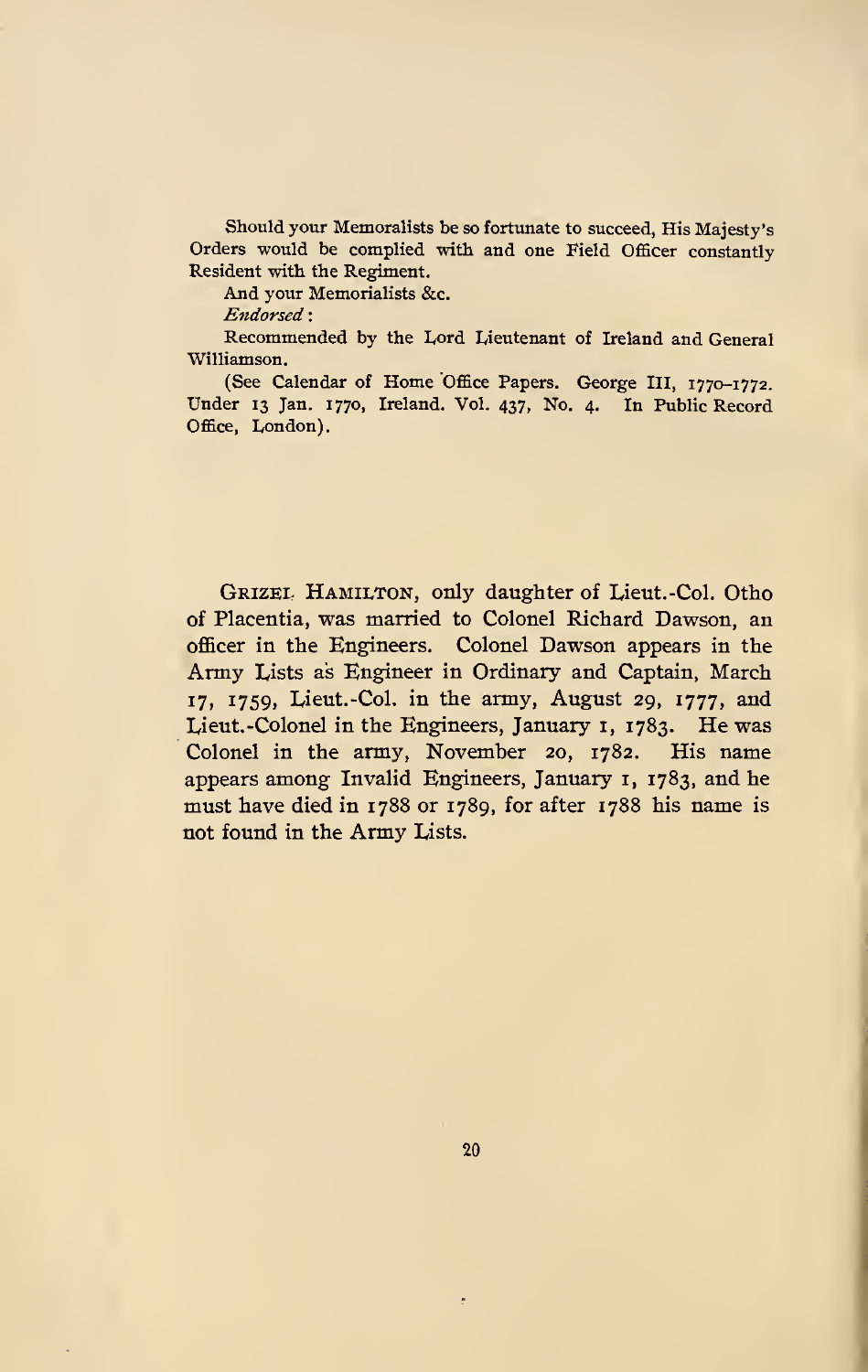Should your Memoralists be so fortunate to succeed, His Majesty's Orders would be complied with and one Field Officer constantly Resident with the Regiment.

And your Memorialists &c.

Endorsed :

Recommended by the Lord Lieutenant of Ireland and General Williamson.

(See Calendar of Home Office Papers. George III, 1770-1772. Under <sup>13</sup> Jan. 1770, Ireland. Vol. 437, No. 4. In Public Record Office, London).

Grizei, Hamilton, only daughter of Lieut.-Col. Otho of Placentia, was married to Colonel Richard Dawson, an officer in the Engineers. Colonel Dawson appears in the Army Lists as Engineer in Ordinary and Captain, March 17, 1759, Lieut.-Col. in the army, August 29, 1777, and Lieut. -Colonel in the Engineers, January 1, 1783. He was Colonel in the army, November 20, 1782. His name appears among Invalid Engineers, January i, 1783, and he must have died in 1788 or 1789, for after 1788 his name is not found in the Army Lists.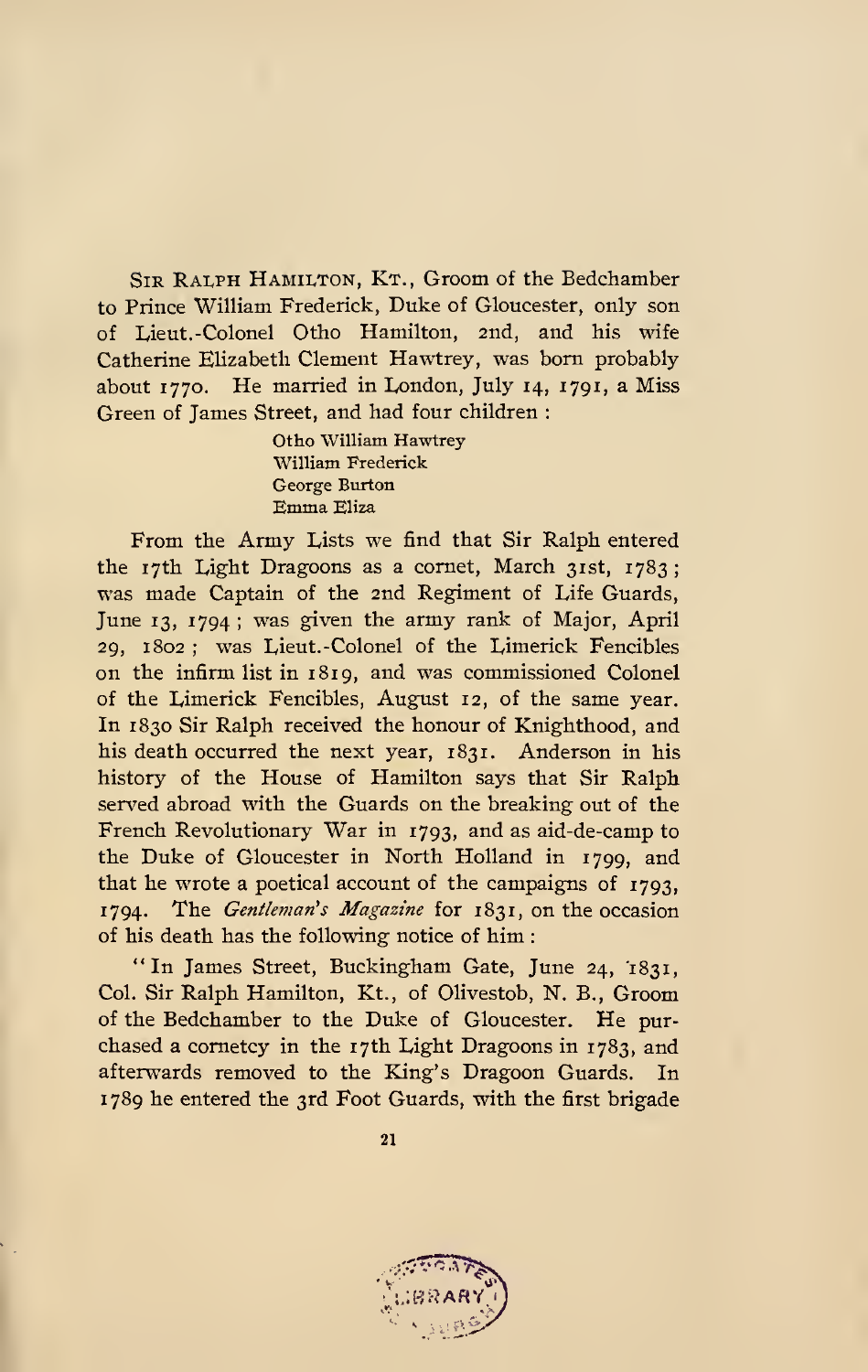SIR RALPH HAMILTON, KT., Groom of the Bedchamber to Prince William Frederick, Duke of Gloucester, only son of Lieut. -Colonel Otho Hamilton, 2nd, and his wife Catherine Elizabeth Clement Hawtrey, was born probably about 1770. He married in London, July 14, 1791, a Miss Green of James Street, and had four children :

> Otho William Hawtrey William Frederick George Burton Emma Eliza

From the Army Lists we find that Sir Ralph entered the 17th Light Dragoons as a cornet, March 31st, 1783 ; was made Captain of the 2nd Regiment of Life Guards, June 13, 1794 ; was given the army rank of Major, April 29, 1802 ; was Lieut. -Colonel of the Limerick Fencibles on the infirm list in 1819, and was commissioned Colonel of the Limerick Fencibles, August 12, of the same year. In 1830 Sir Ralph received the honour of Knighthood, and his death occurred the next year, 1831. Anderson in his history of the House of Hamilton says that Sir Ralph served abroad with the Guards on the breaking out of the French Revolutionary War in 1793, and as aid-de-camp to the Duke of Gloucester in North Holland in 1799, and that he wrote a poetical account of the campaigns of 1793, 1794. The Gentleman's Magazine for  $1831$ , on the occasion of his death has the following notice of him :

"In James Street, Buckingham Gate, June 24, 1831, Col. Sir Ralph Hamilton, Kt., of Olivestob, N. B., Groom of the Bedchamber to the Duke of Gloucester. He purchased a cornetcy in the 17th Light Dragoons in 1783, and afterwards removed to the King's Dragoon Guards. In 1789 he entered the 3rd Foot Guards, with the first brigade

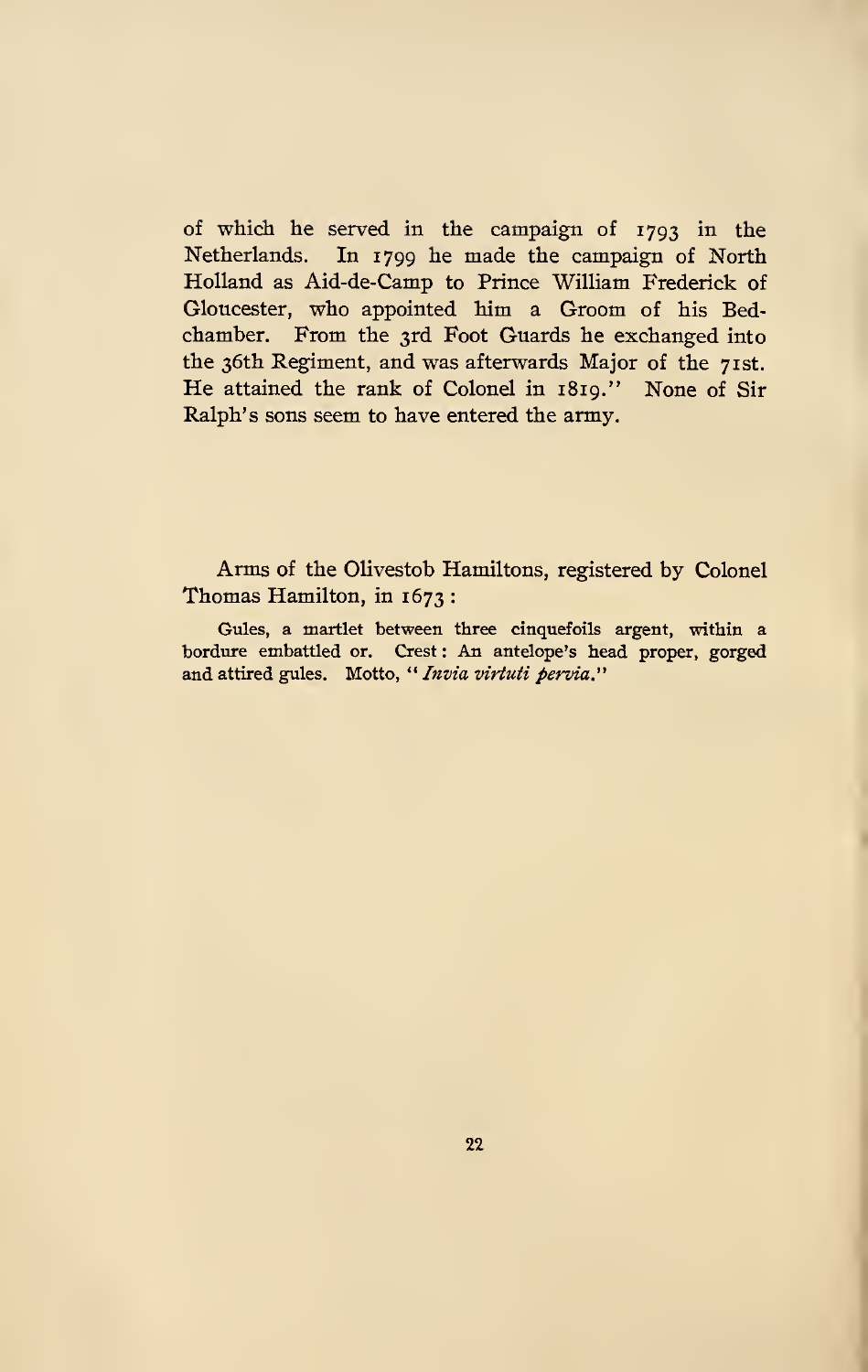of which lie served in the campaign of 1793 in the Netherlands. In 1799 he made the campaign of North Holland as Aid-de-Camp to Prince William Frederick of Gloucester, who appointed him a Groom of his Bedchamber. From the 3rd Foot Guards he exchanged into the 36th Regiment, and was afterwards Major of the 71st. He attained the rank of Colonel in 1819." None of Sir Ralph's sons seem to have entered the army.

Arms of the Olivestob Hamiltons, registered by Colonel Thomas Hamilton, in 1673 :

Gules, a martlet between three cinquefoils argent, within a bordure embattled or. Crest : An antelope's head proper, gorged and attired gules. Motto, "Invia virtuti pervia."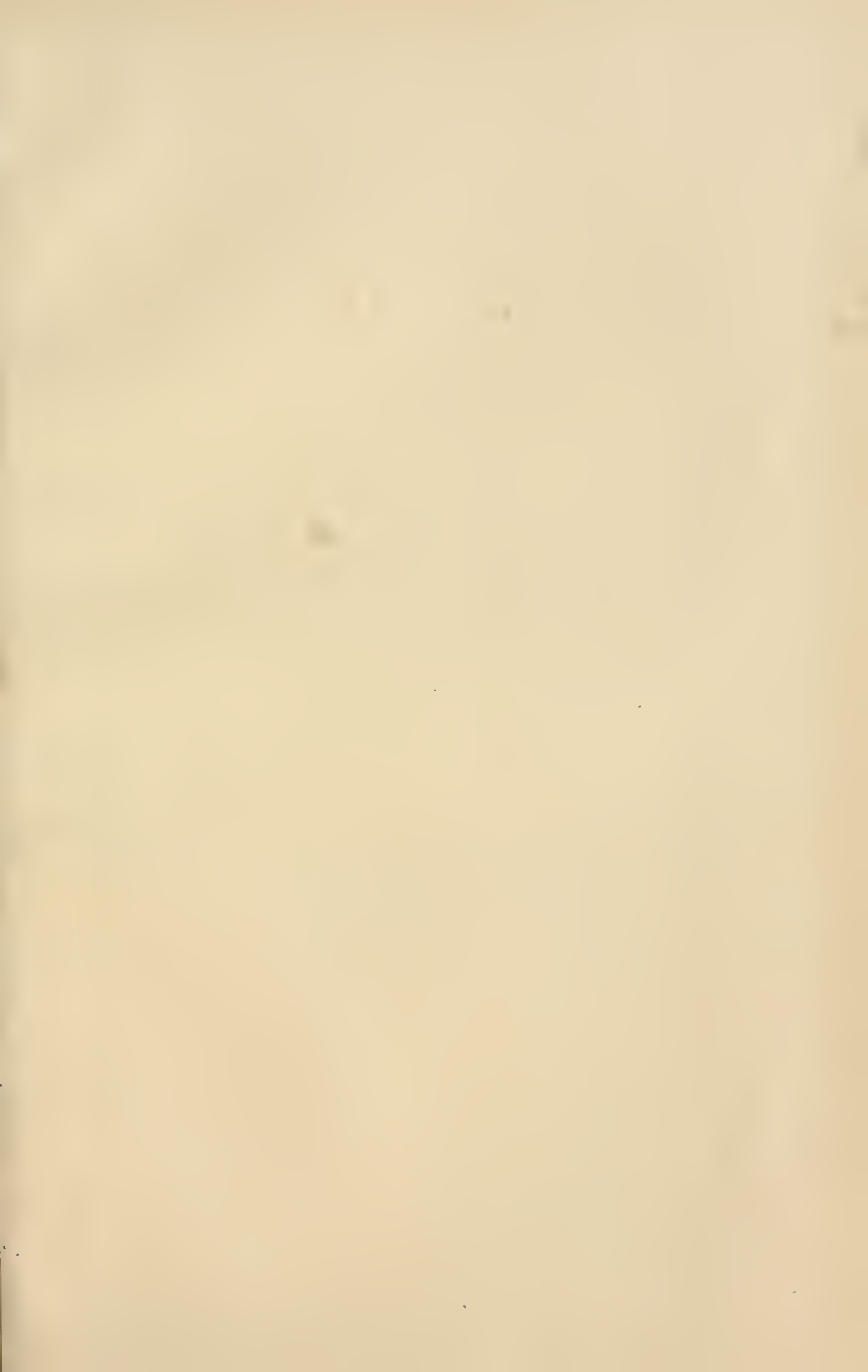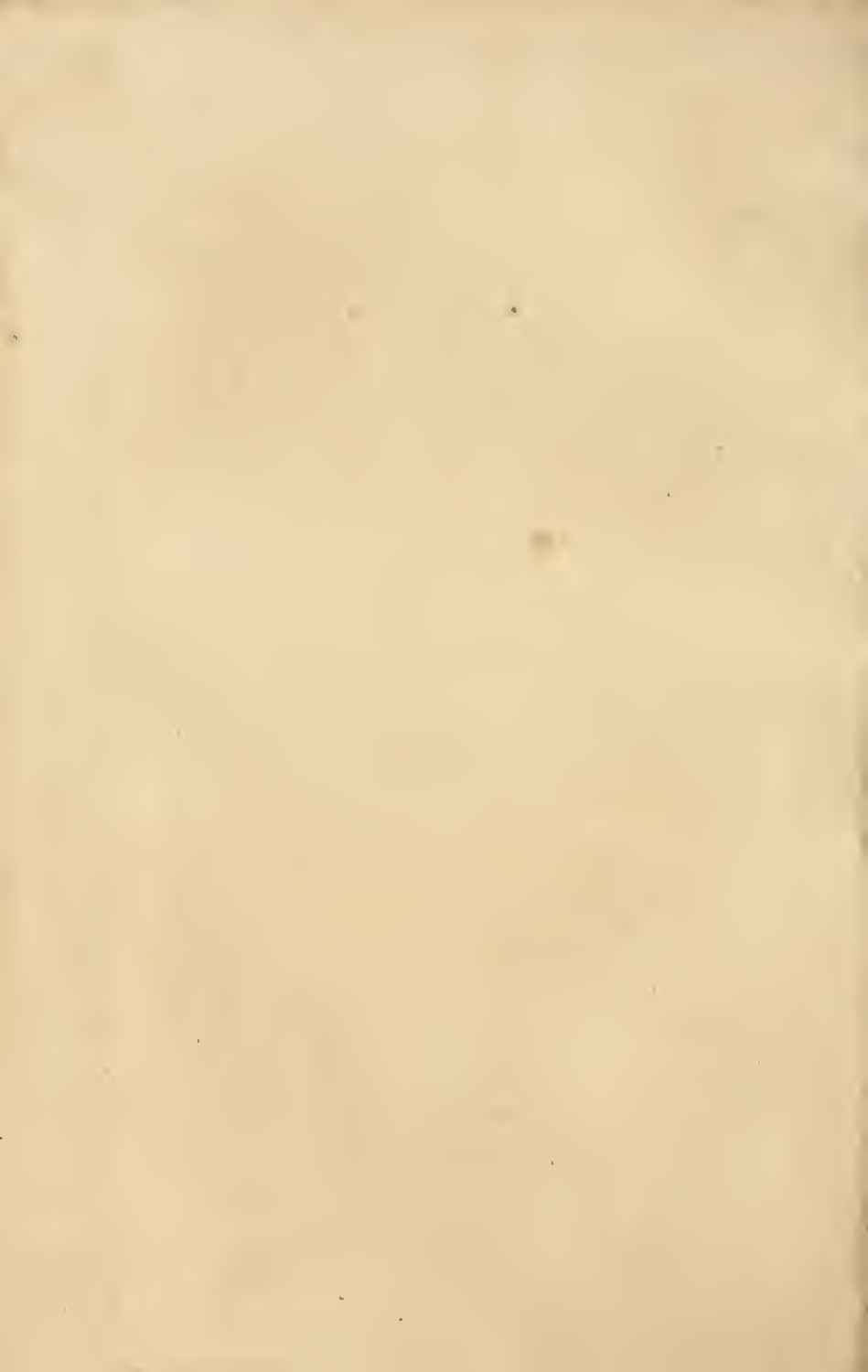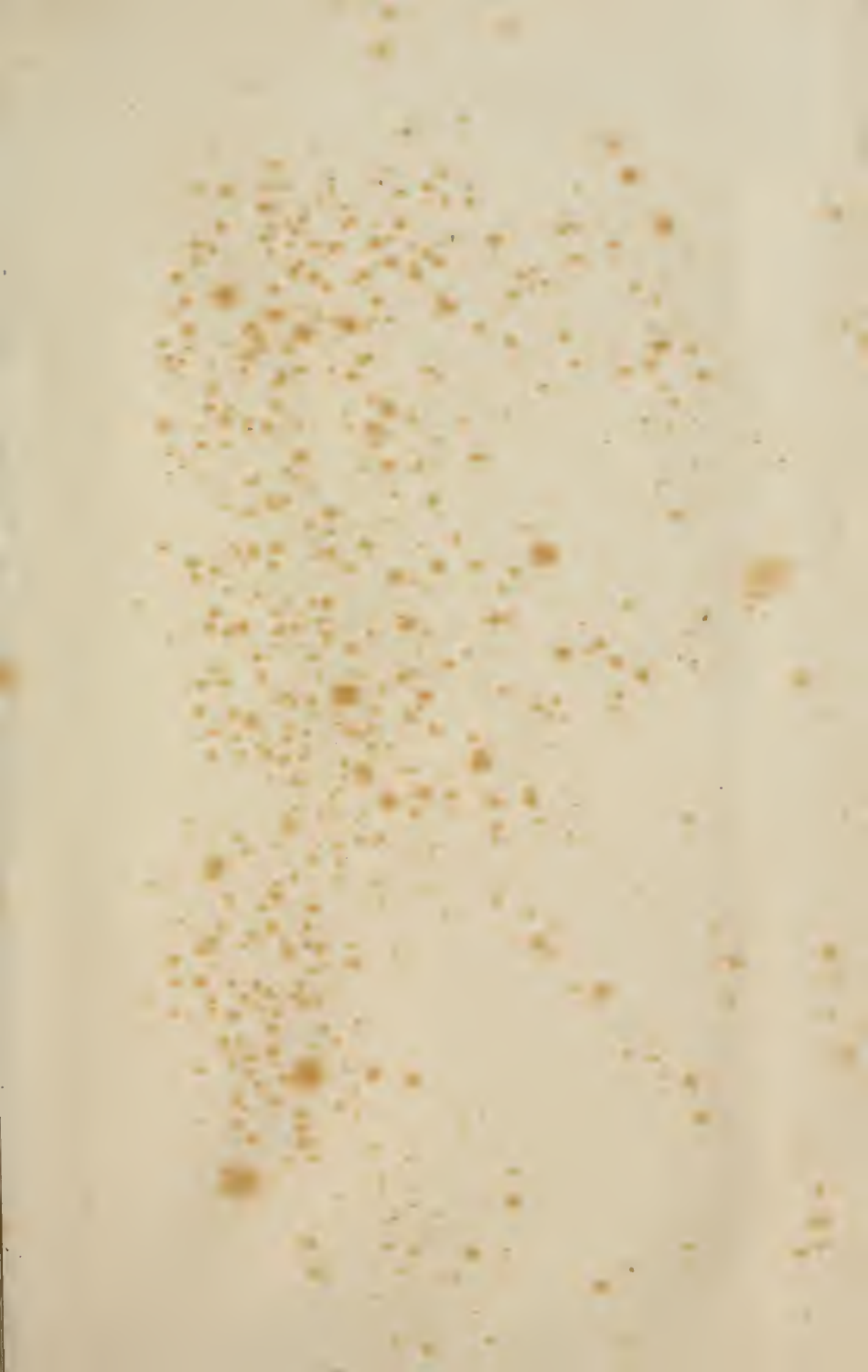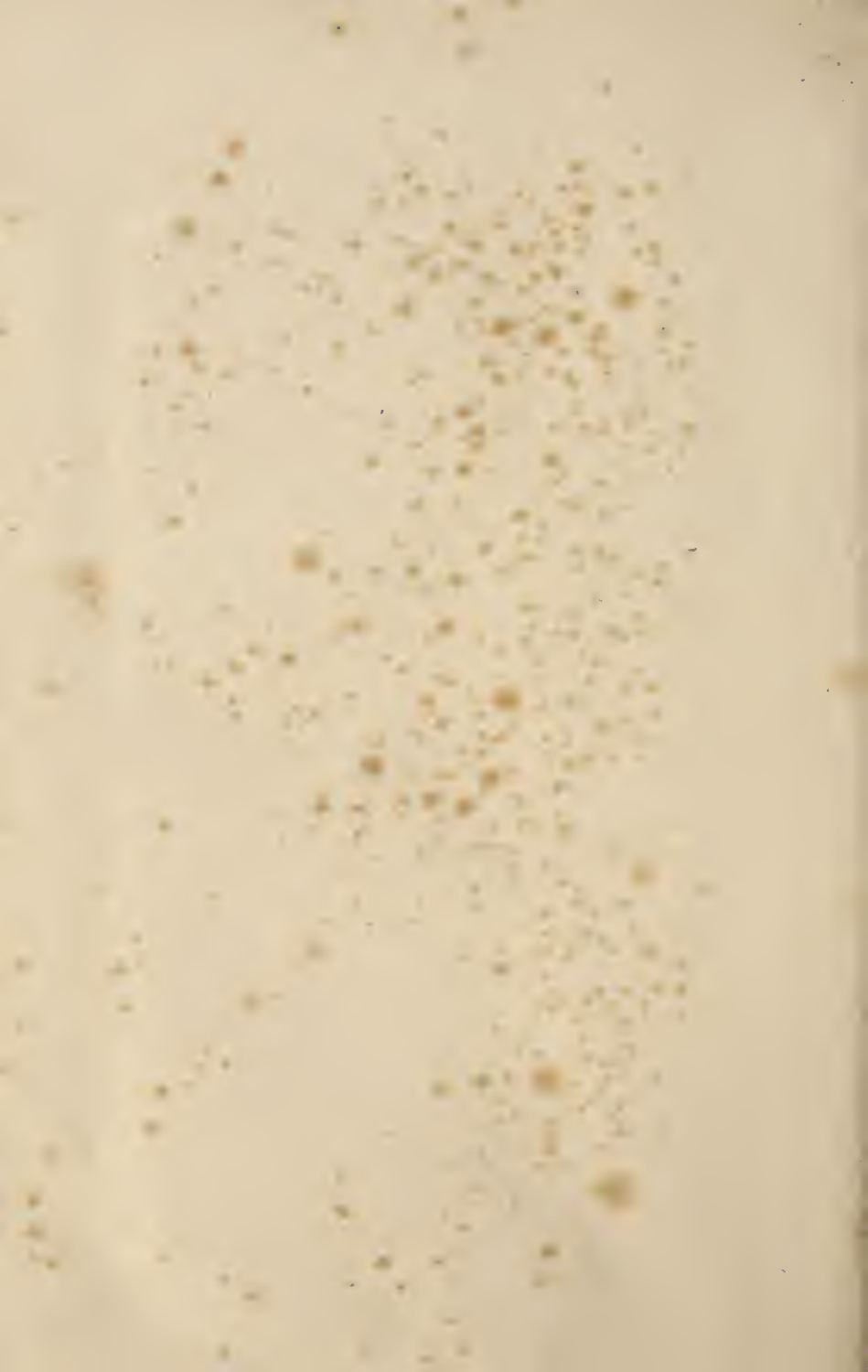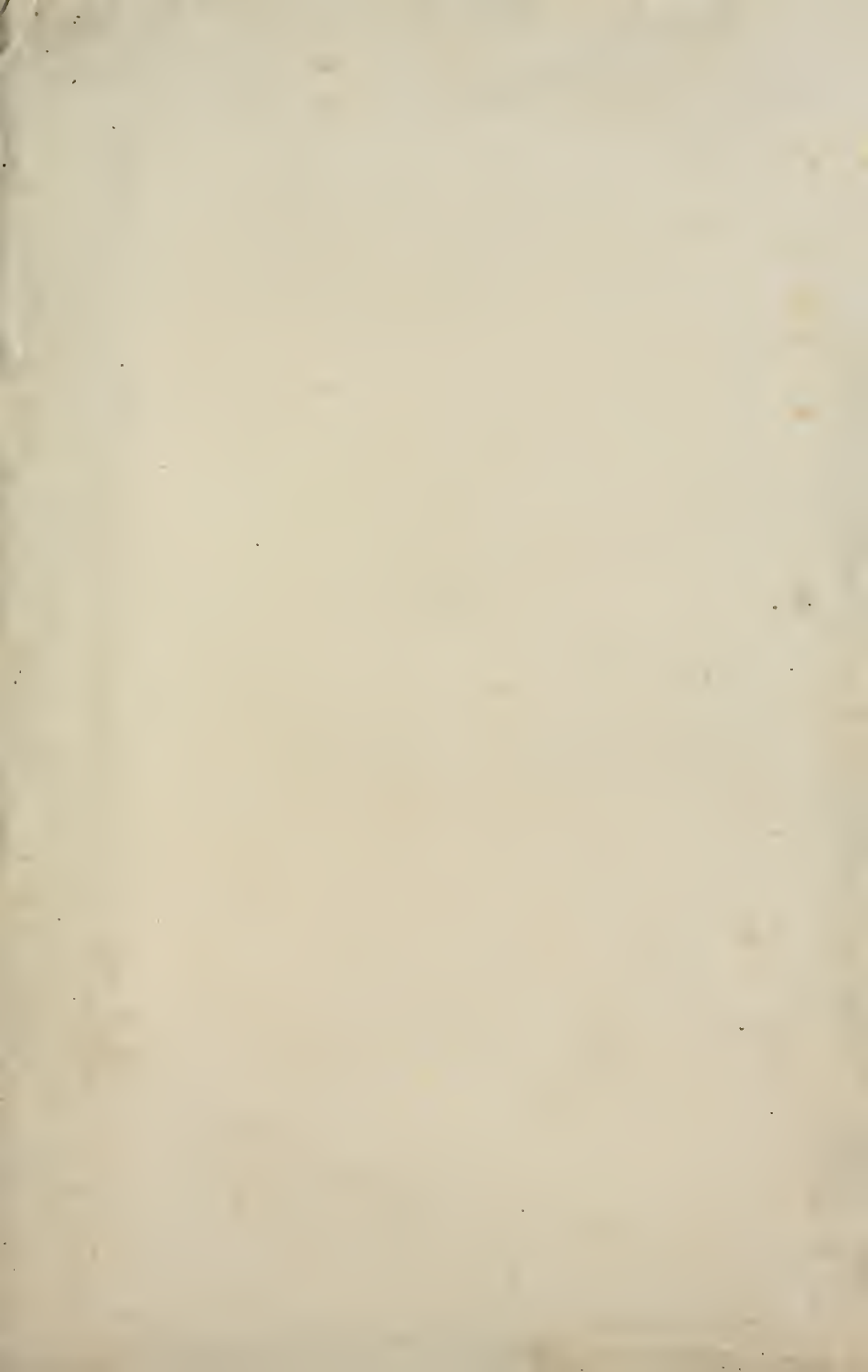